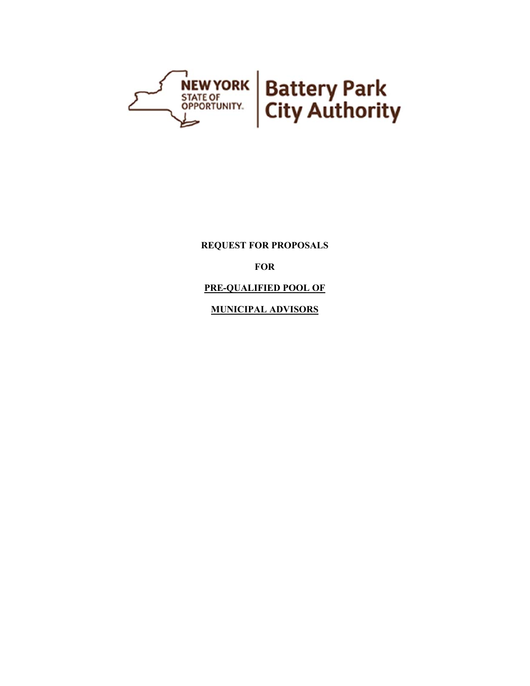

**REQUEST FOR PROPOSALS** 

**FOR** 

**PRE-QUALIFIED POOL OF** 

**MUNICIPAL ADVISORS**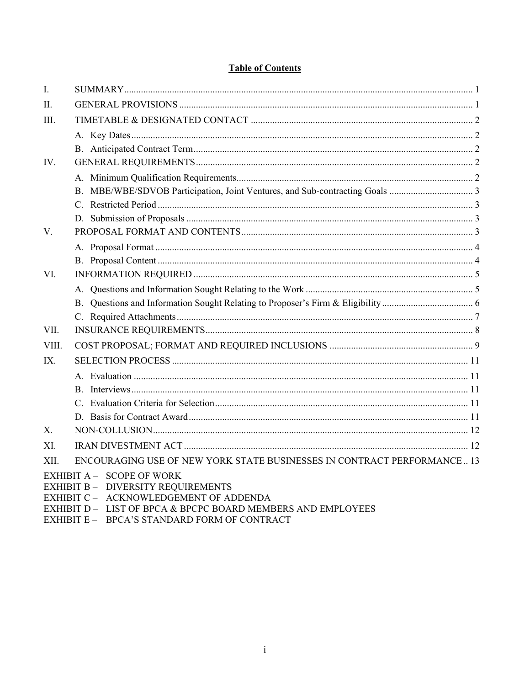# **Table of Contents**

| I.          |                                                                                                           |  |
|-------------|-----------------------------------------------------------------------------------------------------------|--|
| $\Pi$ .     |                                                                                                           |  |
| Ш.          |                                                                                                           |  |
|             |                                                                                                           |  |
|             |                                                                                                           |  |
| IV.         |                                                                                                           |  |
|             |                                                                                                           |  |
|             |                                                                                                           |  |
|             |                                                                                                           |  |
|             |                                                                                                           |  |
| V.          |                                                                                                           |  |
|             |                                                                                                           |  |
|             |                                                                                                           |  |
| VI.         |                                                                                                           |  |
|             |                                                                                                           |  |
|             |                                                                                                           |  |
|             |                                                                                                           |  |
| VII.        |                                                                                                           |  |
| VIII.       |                                                                                                           |  |
| IX.         |                                                                                                           |  |
|             |                                                                                                           |  |
|             |                                                                                                           |  |
|             |                                                                                                           |  |
|             |                                                                                                           |  |
| $X_{\cdot}$ |                                                                                                           |  |
| XI.         |                                                                                                           |  |
| XII.        | ENCOURAGING USE OF NEW YORK STATE BUSINESSES IN CONTRACT PERFORMANCE 13                                   |  |
|             | EXHIBIT A - SCOPE OF WORK<br>EXHIBIT B - DIVERSITY REQUIREMENTS<br>EXHIBIT C - ACKNOWLEDGEMENT OF ADDENDA |  |

- EXHIBIT D LIST OF BPCA & BPCPC BOARD MEMBERS AND EMPLOYEES
- EXHIBIT E BPCA'S STANDARD FORM OF CONTRACT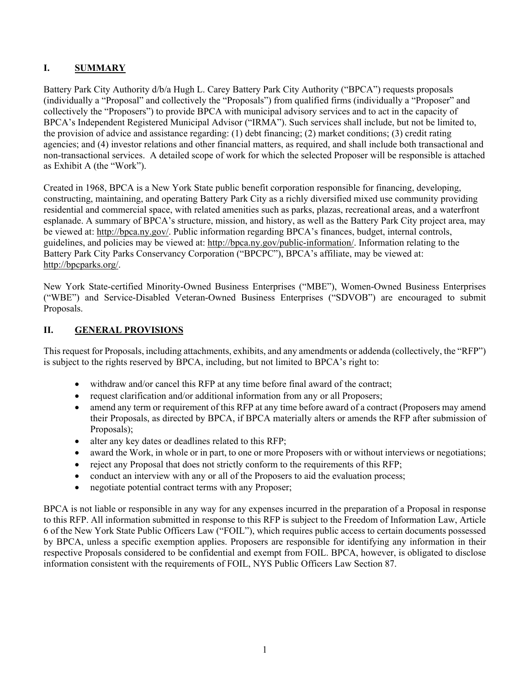### **I. SUMMARY**

Battery Park City Authority d/b/a Hugh L. Carey Battery Park City Authority ("BPCA") requests proposals (individually a "Proposal" and collectively the "Proposals") from qualified firms (individually a "Proposer" and collectively the "Proposers") to provide BPCA with municipal advisory services and to act in the capacity of BPCA's Independent Registered Municipal Advisor ("IRMA"). Such services shall include, but not be limited to, the provision of advice and assistance regarding: (1) debt financing; (2) market conditions; (3) credit rating agencies; and (4) investor relations and other financial matters, as required, and shall include both transactional and non-transactional services. A detailed scope of work for which the selected Proposer will be responsible is attached as Exhibit A (the "Work").

Created in 1968, BPCA is a New York State public benefit corporation responsible for financing, developing, constructing, maintaining, and operating Battery Park City as a richly diversified mixed use community providing residential and commercial space, with related amenities such as parks, plazas, recreational areas, and a waterfront esplanade. A summary of BPCA's structure, mission, and history, as well as the Battery Park City project area, may be viewed at: http://bpca.ny.gov/. Public information regarding BPCA's finances, budget, internal controls, guidelines, and policies may be viewed at: http://bpca.ny.gov/public-information/. Information relating to the Battery Park City Parks Conservancy Corporation ("BPCPC"), BPCA's affiliate, may be viewed at: http://bpcparks.org/.

New York State-certified Minority-Owned Business Enterprises ("MBE"), Women-Owned Business Enterprises ("WBE") and Service-Disabled Veteran-Owned Business Enterprises ("SDVOB") are encouraged to submit Proposals.

### **II. GENERAL PROVISIONS**

This request for Proposals, including attachments, exhibits, and any amendments or addenda (collectively, the "RFP") is subject to the rights reserved by BPCA, including, but not limited to BPCA's right to:

- withdraw and/or cancel this RFP at any time before final award of the contract;
- request clarification and/or additional information from any or all Proposers;
- amend any term or requirement of this RFP at any time before award of a contract (Proposers may amend their Proposals, as directed by BPCA, if BPCA materially alters or amends the RFP after submission of Proposals);
- alter any key dates or deadlines related to this RFP;
- award the Work, in whole or in part, to one or more Proposers with or without interviews or negotiations;
- reject any Proposal that does not strictly conform to the requirements of this RFP;
- conduct an interview with any or all of the Proposers to aid the evaluation process;
- negotiate potential contract terms with any Proposer:

BPCA is not liable or responsible in any way for any expenses incurred in the preparation of a Proposal in response to this RFP. All information submitted in response to this RFP is subject to the Freedom of Information Law, Article 6 of the New York State Public Officers Law ("FOIL"), which requires public access to certain documents possessed by BPCA, unless a specific exemption applies. Proposers are responsible for identifying any information in their respective Proposals considered to be confidential and exempt from FOIL. BPCA, however, is obligated to disclose information consistent with the requirements of FOIL, NYS Public Officers Law Section 87.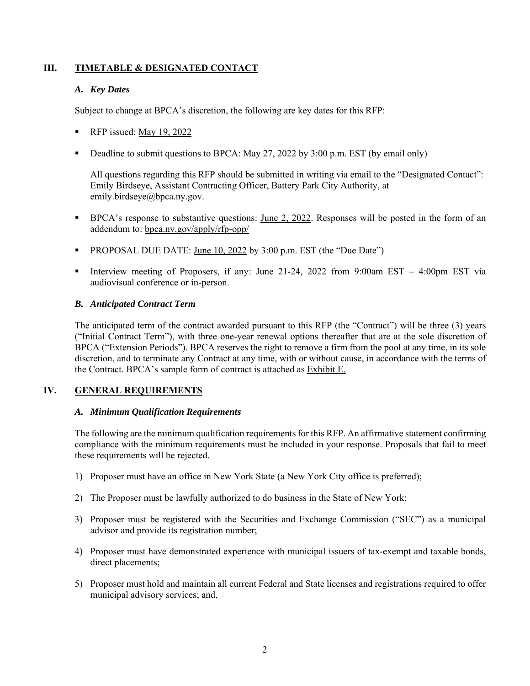### **III. TIMETABLE & DESIGNATED CONTACT**

### *A. Key Dates*

Subject to change at BPCA's discretion, the following are key dates for this RFP:

- RFP issued: May 19, 2022
- Deadline to submit questions to BPCA: May 27, 2022 by 3:00 p.m. EST (by email only)

All questions regarding this RFP should be submitted in writing via email to the "Designated Contact": Emily Birdseye, Assistant Contracting Officer, Battery Park City Authority, at emily.birdseye@bpca.ny.gov.

- BPCA's response to substantive questions: June 2, 2022. Responses will be posted in the form of an addendum to: bpca.ny.gov/apply/rfp-opp/
- PROPOSAL DUE DATE: June 10, 2022 by 3:00 p.m. EST (the "Due Date")
- Interview meeting of Proposers, if any: June 21-24, 2022 from 9:00am EST 4:00pm EST via audiovisual conference or in-person.

### *B. Anticipated Contract Term*

The anticipated term of the contract awarded pursuant to this RFP (the "Contract") will be three (3) years ("Initial Contract Term"), with three one-year renewal options thereafter that are at the sole discretion of BPCA ("Extension Periods"). BPCA reserves the right to remove a firm from the pool at any time, in its sole discretion, and to terminate any Contract at any time, with or without cause, in accordance with the terms of the Contract. BPCA's sample form of contract is attached as Exhibit E.

### **IV. GENERAL REQUIREMENTS**

### *A. Minimum Qualification Requirements*

The following are the minimum qualification requirements for this RFP. An affirmative statement confirming compliance with the minimum requirements must be included in your response. Proposals that fail to meet these requirements will be rejected.

- 1) Proposer must have an office in New York State (a New York City office is preferred);
- 2) The Proposer must be lawfully authorized to do business in the State of New York;
- 3) Proposer must be registered with the Securities and Exchange Commission ("SEC") as a municipal advisor and provide its registration number;
- 4) Proposer must have demonstrated experience with municipal issuers of tax-exempt and taxable bonds, direct placements;
- 5) Proposer must hold and maintain all current Federal and State licenses and registrations required to offer municipal advisory services; and,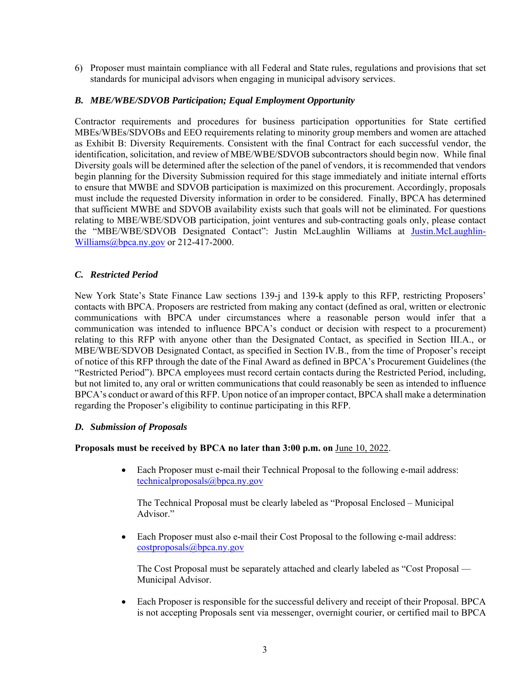6) Proposer must maintain compliance with all Federal and State rules, regulations and provisions that set standards for municipal advisors when engaging in municipal advisory services.

### *B. MBE/WBE/SDVOB Participation; Equal Employment Opportunity*

Contractor requirements and procedures for business participation opportunities for State certified MBEs/WBEs/SDVOBs and EEO requirements relating to minority group members and women are attached as Exhibit B: Diversity Requirements. Consistent with the final Contract for each successful vendor, the identification, solicitation, and review of MBE/WBE/SDVOB subcontractors should begin now. While final Diversity goals will be determined after the selection of the panel of vendors, it is recommended that vendors begin planning for the Diversity Submission required for this stage immediately and initiate internal efforts to ensure that MWBE and SDVOB participation is maximized on this procurement. Accordingly, proposals must include the requested Diversity information in order to be considered. Finally, BPCA has determined that sufficient MWBE and SDVOB availability exists such that goals will not be eliminated. For questions relating to MBE/WBE/SDVOB participation, joint ventures and sub-contracting goals only, please contact the "MBE/WBE/SDVOB Designated Contact": Justin McLaughlin Williams at Justin.McLaughlin-Williams@bpca.ny.gov or 212-417-2000.

### *C. Restricted Period*

New York State's State Finance Law sections 139-j and 139-k apply to this RFP, restricting Proposers' contacts with BPCA. Proposers are restricted from making any contact (defined as oral, written or electronic communications with BPCA under circumstances where a reasonable person would infer that a communication was intended to influence BPCA's conduct or decision with respect to a procurement) relating to this RFP with anyone other than the Designated Contact, as specified in Section III.A., or MBE/WBE/SDVOB Designated Contact, as specified in Section IV.B., from the time of Proposer's receipt of notice of this RFP through the date of the Final Award as defined in BPCA's Procurement Guidelines (the "Restricted Period"). BPCA employees must record certain contacts during the Restricted Period, including, but not limited to, any oral or written communications that could reasonably be seen as intended to influence BPCA's conduct or award of this RFP. Upon notice of an improper contact, BPCA shall make a determination regarding the Proposer's eligibility to continue participating in this RFP.

### *D. Submission of Proposals*

### **Proposals must be received by BPCA no later than 3:00 p.m. on** June 10, 2022.

 Each Proposer must e-mail their Technical Proposal to the following e-mail address: technicalproposals@bpca.ny.gov

The Technical Proposal must be clearly labeled as "Proposal Enclosed – Municipal Advisor."

 Each Proposer must also e-mail their Cost Proposal to the following e-mail address: costproposals@bpca.ny.gov

The Cost Proposal must be separately attached and clearly labeled as "Cost Proposal — Municipal Advisor.

 Each Proposer is responsible for the successful delivery and receipt of their Proposal. BPCA is not accepting Proposals sent via messenger, overnight courier, or certified mail to BPCA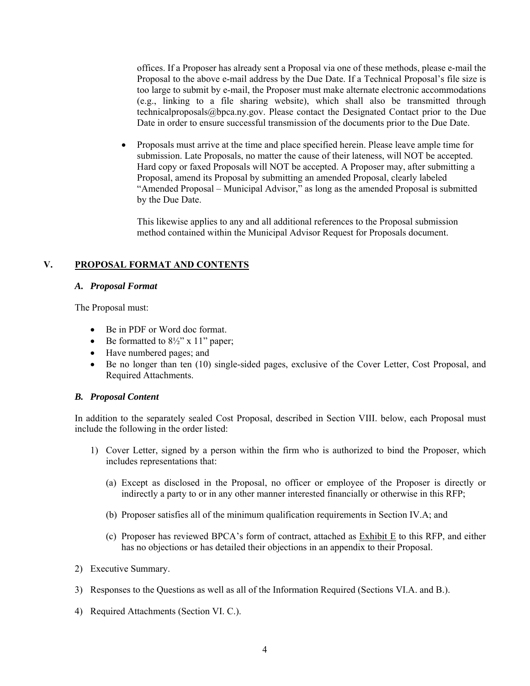offices. If a Proposer has already sent a Proposal via one of these methods, please e-mail the Proposal to the above e-mail address by the Due Date. If a Technical Proposal's file size is too large to submit by e-mail, the Proposer must make alternate electronic accommodations (e.g., linking to a file sharing website), which shall also be transmitted through technicalproposals@bpca.ny.gov. Please contact the Designated Contact prior to the Due Date in order to ensure successful transmission of the documents prior to the Due Date.

 Proposals must arrive at the time and place specified herein. Please leave ample time for submission. Late Proposals, no matter the cause of their lateness, will NOT be accepted. Hard copy or faxed Proposals will NOT be accepted. A Proposer may, after submitting a Proposal, amend its Proposal by submitting an amended Proposal, clearly labeled "Amended Proposal – Municipal Advisor," as long as the amended Proposal is submitted by the Due Date.

This likewise applies to any and all additional references to the Proposal submission method contained within the Municipal Advisor Request for Proposals document.

### **V. PROPOSAL FORMAT AND CONTENTS**

### *A. Proposal Format*

The Proposal must:

- Be in PDF or Word doc format.
- $\bullet$  Be formatted to  $8\frac{1}{2}$ " x 11" paper;
- Have numbered pages; and
- Be no longer than ten (10) single-sided pages, exclusive of the Cover Letter, Cost Proposal, and Required Attachments.

### *B. Proposal Content*

In addition to the separately sealed Cost Proposal, described in Section VIII. below, each Proposal must include the following in the order listed:

- 1) Cover Letter, signed by a person within the firm who is authorized to bind the Proposer, which includes representations that:
	- (a) Except as disclosed in the Proposal, no officer or employee of the Proposer is directly or indirectly a party to or in any other manner interested financially or otherwise in this RFP;
	- (b) Proposer satisfies all of the minimum qualification requirements in Section IV.A; and
	- (c) Proposer has reviewed BPCA's form of contract, attached as Exhibit E to this RFP, and either has no objections or has detailed their objections in an appendix to their Proposal.
- 2) Executive Summary.
- 3) Responses to the Questions as well as all of the Information Required (Sections VI.A. and B.).
- 4) Required Attachments (Section VI. C.).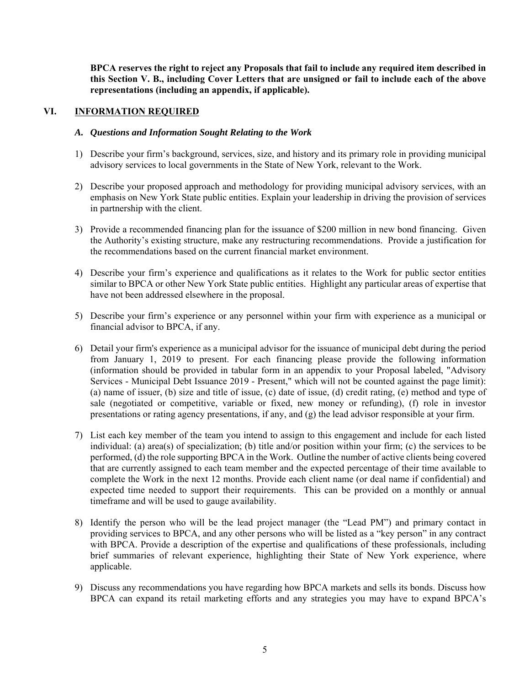**BPCA reserves the right to reject any Proposals that fail to include any required item described in this Section V. B., including Cover Letters that are unsigned or fail to include each of the above representations (including an appendix, if applicable).** 

### **VI. INFORMATION REQUIRED**

#### *A. Questions and Information Sought Relating to the Work*

- 1) Describe your firm's background, services, size, and history and its primary role in providing municipal advisory services to local governments in the State of New York, relevant to the Work.
- 2) Describe your proposed approach and methodology for providing municipal advisory services, with an emphasis on New York State public entities. Explain your leadership in driving the provision of services in partnership with the client.
- 3) Provide a recommended financing plan for the issuance of \$200 million in new bond financing. Given the Authority's existing structure, make any restructuring recommendations. Provide a justification for the recommendations based on the current financial market environment.
- 4) Describe your firm's experience and qualifications as it relates to the Work for public sector entities similar to BPCA or other New York State public entities. Highlight any particular areas of expertise that have not been addressed elsewhere in the proposal.
- 5) Describe your firm's experience or any personnel within your firm with experience as a municipal or financial advisor to BPCA, if any.
- 6) Detail your firm's experience as a municipal advisor for the issuance of municipal debt during the period from January 1, 2019 to present. For each financing please provide the following information (information should be provided in tabular form in an appendix to your Proposal labeled, "Advisory Services - Municipal Debt Issuance 2019 - Present," which will not be counted against the page limit): (a) name of issuer, (b) size and title of issue, (c) date of issue, (d) credit rating, (e) method and type of sale (negotiated or competitive, variable or fixed, new money or refunding), (f) role in investor presentations or rating agency presentations, if any, and (g) the lead advisor responsible at your firm.
- 7) List each key member of the team you intend to assign to this engagement and include for each listed individual: (a) area(s) of specialization; (b) title and/or position within your firm; (c) the services to be performed, (d) the role supporting BPCA in the Work. Outline the number of active clients being covered that are currently assigned to each team member and the expected percentage of their time available to complete the Work in the next 12 months. Provide each client name (or deal name if confidential) and expected time needed to support their requirements. This can be provided on a monthly or annual timeframe and will be used to gauge availability.
- 8) Identify the person who will be the lead project manager (the "Lead PM") and primary contact in providing services to BPCA, and any other persons who will be listed as a "key person" in any contract with BPCA. Provide a description of the expertise and qualifications of these professionals, including brief summaries of relevant experience, highlighting their State of New York experience, where applicable.
- 9) Discuss any recommendations you have regarding how BPCA markets and sells its bonds. Discuss how BPCA can expand its retail marketing efforts and any strategies you may have to expand BPCA's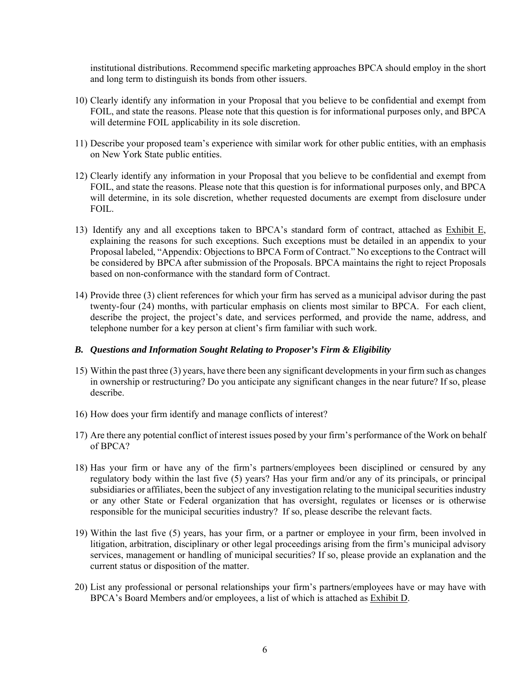institutional distributions. Recommend specific marketing approaches BPCA should employ in the short and long term to distinguish its bonds from other issuers.

- 10) Clearly identify any information in your Proposal that you believe to be confidential and exempt from FOIL, and state the reasons. Please note that this question is for informational purposes only, and BPCA will determine FOIL applicability in its sole discretion.
- 11) Describe your proposed team's experience with similar work for other public entities, with an emphasis on New York State public entities.
- 12) Clearly identify any information in your Proposal that you believe to be confidential and exempt from FOIL, and state the reasons. Please note that this question is for informational purposes only, and BPCA will determine, in its sole discretion, whether requested documents are exempt from disclosure under FOIL.
- 13) Identify any and all exceptions taken to BPCA's standard form of contract, attached as Exhibit E, explaining the reasons for such exceptions. Such exceptions must be detailed in an appendix to your Proposal labeled, "Appendix: Objections to BPCA Form of Contract." No exceptions to the Contract will be considered by BPCA after submission of the Proposals. BPCA maintains the right to reject Proposals based on non-conformance with the standard form of Contract.
- 14) Provide three (3) client references for which your firm has served as a municipal advisor during the past twenty-four (24) months, with particular emphasis on clients most similar to BPCA. For each client, describe the project, the project's date, and services performed, and provide the name, address, and telephone number for a key person at client's firm familiar with such work.

#### *B. Questions and Information Sought Relating to Proposer's Firm & Eligibility*

- 15) Within the past three (3) years, have there been any significant developments in your firm such as changes in ownership or restructuring? Do you anticipate any significant changes in the near future? If so, please describe.
- 16) How does your firm identify and manage conflicts of interest?
- 17) Are there any potential conflict of interest issues posed by your firm's performance of the Work on behalf of BPCA?
- 18) Has your firm or have any of the firm's partners/employees been disciplined or censured by any regulatory body within the last five (5) years? Has your firm and/or any of its principals, or principal subsidiaries or affiliates, been the subject of any investigation relating to the municipal securities industry or any other State or Federal organization that has oversight, regulates or licenses or is otherwise responsible for the municipal securities industry? If so, please describe the relevant facts.
- 19) Within the last five (5) years, has your firm, or a partner or employee in your firm, been involved in litigation, arbitration, disciplinary or other legal proceedings arising from the firm's municipal advisory services, management or handling of municipal securities? If so, please provide an explanation and the current status or disposition of the matter.
- 20) List any professional or personal relationships your firm's partners/employees have or may have with BPCA's Board Members and/or employees, a list of which is attached as Exhibit D.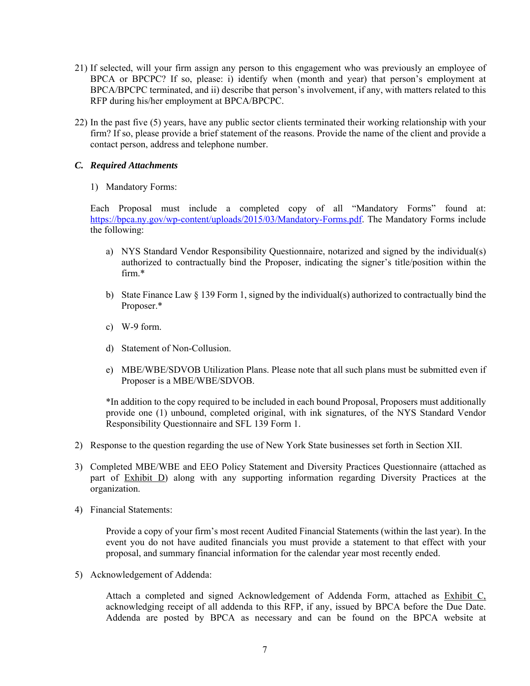- 21) If selected, will your firm assign any person to this engagement who was previously an employee of BPCA or BPCPC? If so, please: i) identify when (month and year) that person's employment at BPCA/BPCPC terminated, and ii) describe that person's involvement, if any, with matters related to this RFP during his/her employment at BPCA/BPCPC.
- 22) In the past five (5) years, have any public sector clients terminated their working relationship with your firm? If so, please provide a brief statement of the reasons. Provide the name of the client and provide a contact person, address and telephone number.

### *C. Required Attachments*

1) Mandatory Forms:

Each Proposal must include a completed copy of all "Mandatory Forms" found at: https://bpca.ny.gov/wp-content/uploads/2015/03/Mandatory-Forms.pdf. The Mandatory Forms include the following:

- a) NYS Standard Vendor Responsibility Questionnaire, notarized and signed by the individual(s) authorized to contractually bind the Proposer, indicating the signer's title/position within the firm.\*
- b) State Finance Law § 139 Form 1, signed by the individual(s) authorized to contractually bind the Proposer.\*
- c) W-9 form.
- d) Statement of Non-Collusion.
- e) MBE/WBE/SDVOB Utilization Plans. Please note that all such plans must be submitted even if Proposer is a MBE/WBE/SDVOB.

\*In addition to the copy required to be included in each bound Proposal, Proposers must additionally provide one (1) unbound, completed original, with ink signatures, of the NYS Standard Vendor Responsibility Questionnaire and SFL 139 Form 1.

- 2) Response to the question regarding the use of New York State businesses set forth in Section XII.
- 3) Completed MBE/WBE and EEO Policy Statement and Diversity Practices Questionnaire (attached as part of Exhibit D) along with any supporting information regarding Diversity Practices at the organization.
- 4) Financial Statements:

Provide a copy of your firm's most recent Audited Financial Statements (within the last year). In the event you do not have audited financials you must provide a statement to that effect with your proposal, and summary financial information for the calendar year most recently ended.

5) Acknowledgement of Addenda:

Attach a completed and signed Acknowledgement of Addenda Form, attached as Exhibit C, acknowledging receipt of all addenda to this RFP, if any, issued by BPCA before the Due Date. Addenda are posted by BPCA as necessary and can be found on the BPCA website at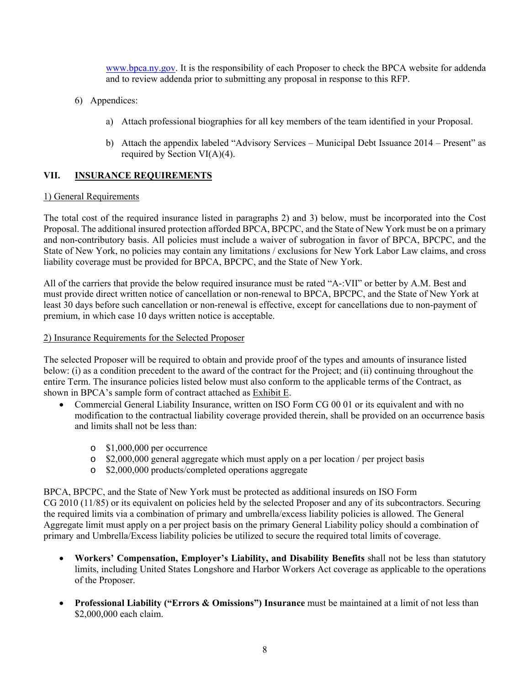www.bpca.ny.gov. It is the responsibility of each Proposer to check the BPCA website for addenda and to review addenda prior to submitting any proposal in response to this RFP.

- 6) Appendices:
	- a) Attach professional biographies for all key members of the team identified in your Proposal.
	- b) Attach the appendix labeled "Advisory Services Municipal Debt Issuance 2014 Present" as required by Section VI(A)(4).

### **VII. INSURANCE REQUIREMENTS**

### 1) General Requirements

The total cost of the required insurance listed in paragraphs 2) and 3) below, must be incorporated into the Cost Proposal. The additional insured protection afforded BPCA, BPCPC, and the State of New York must be on a primary and non-contributory basis. All policies must include a waiver of subrogation in favor of BPCA, BPCPC, and the State of New York, no policies may contain any limitations / exclusions for New York Labor Law claims, and cross liability coverage must be provided for BPCA, BPCPC, and the State of New York.

All of the carriers that provide the below required insurance must be rated "A-:VII" or better by A.M. Best and must provide direct written notice of cancellation or non-renewal to BPCA, BPCPC, and the State of New York at least 30 days before such cancellation or non-renewal is effective, except for cancellations due to non-payment of premium, in which case 10 days written notice is acceptable.

### 2) Insurance Requirements for the Selected Proposer

The selected Proposer will be required to obtain and provide proof of the types and amounts of insurance listed below: (i) as a condition precedent to the award of the contract for the Project; and (ii) continuing throughout the entire Term. The insurance policies listed below must also conform to the applicable terms of the Contract, as shown in BPCA's sample form of contract attached as Exhibit E.

- Commercial General Liability Insurance, written on ISO Form CG 00 01 or its equivalent and with no modification to the contractual liability coverage provided therein, shall be provided on an occurrence basis and limits shall not be less than:
	- o \$1,000,000 per occurrence
	- o \$2,000,000 general aggregate which must apply on a per location / per project basis
	- o \$2,000,000 products/completed operations aggregate

BPCA, BPCPC, and the State of New York must be protected as additional insureds on ISO Form CG 2010 (11/85) or its equivalent on policies held by the selected Proposer and any of its subcontractors. Securing the required limits via a combination of primary and umbrella/excess liability policies is allowed. The General Aggregate limit must apply on a per project basis on the primary General Liability policy should a combination of primary and Umbrella/Excess liability policies be utilized to secure the required total limits of coverage.

- **Workers' Compensation, Employer's Liability, and Disability Benefits** shall not be less than statutory limits, including United States Longshore and Harbor Workers Act coverage as applicable to the operations of the Proposer.
- **•** Professional Liability ("Errors & Omissions") Insurance must be maintained at a limit of not less than \$2,000,000 each claim.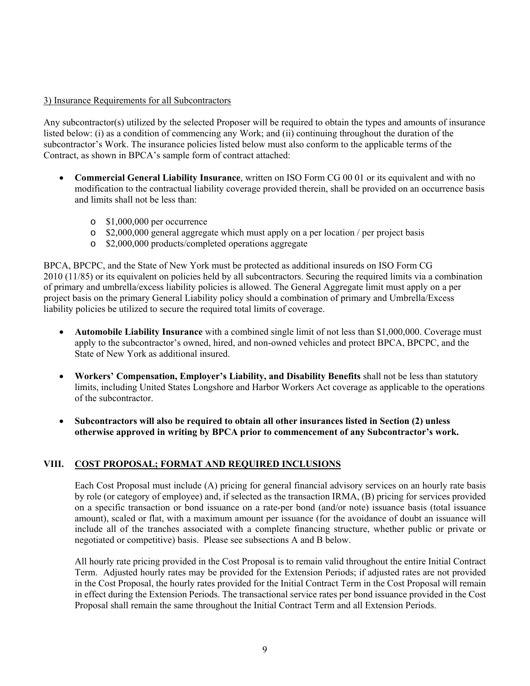### 3) Insurance Requirements for all Subcontractors

Any subcontractor(s) utilized by the selected Proposer will be required to obtain the types and amounts of insurance listed below: (i) as a condition of commencing any Work; and (ii) continuing throughout the duration of the subcontractor's Work. The insurance policies listed below must also conform to the applicable terms of the Contract, as shown in BPCA's sample form of contract attached:

- **Commercial General Liability Insurance**, written on ISO Form CG 00 01 or its equivalent and with no modification to the contractual liability coverage provided therein, shall be provided on an occurrence basis and limits shall not be less than:
	- o \$1,000,000 per occurrence
	- o \$2,000,000 general aggregate which must apply on a per location / per project basis
	- o \$2,000,000 products/completed operations aggregate

BPCA, BPCPC, and the State of New York must be protected as additional insureds on ISO Form CG 2010 (11/85) or its equivalent on policies held by all subcontractors. Securing the required limits via a combination of primary and umbrella/excess liability policies is allowed. The General Aggregate limit must apply on a per project basis on the primary General Liability policy should a combination of primary and Umbrella/Excess liability policies be utilized to secure the required total limits of coverage.

- **Automobile Liability Insurance** with a combined single limit of not less than \$1,000,000. Coverage must apply to the subcontractor's owned, hired, and non-owned vehicles and protect BPCA, BPCPC, and the State of New York as additional insured.
- **Workers' Compensation, Employer's Liability, and Disability Benefits** shall not be less than statutory limits, including United States Longshore and Harbor Workers Act coverage as applicable to the operations of the subcontractor.
- **Subcontractors will also be required to obtain all other insurances listed in Section (2) unless otherwise approved in writing by BPCA prior to commencement of any Subcontractor's work.**

### **VIII. COST PROPOSAL; FORMAT AND REQUIRED INCLUSIONS**

Each Cost Proposal must include (A) pricing for general financial advisory services on an hourly rate basis by role (or category of employee) and, if selected as the transaction IRMA, (B) pricing for services provided on a specific transaction or bond issuance on a rate-per bond (and/or note) issuance basis (total issuance amount), scaled or flat, with a maximum amount per issuance (for the avoidance of doubt an issuance will include all of the tranches associated with a complete financing structure, whether public or private or negotiated or competitive) basis. Please see subsections A and B below.

All hourly rate pricing provided in the Cost Proposal is to remain valid throughout the entire Initial Contract Term. Adjusted hourly rates may be provided for the Extension Periods; if adjusted rates are not provided in the Cost Proposal, the hourly rates provided for the Initial Contract Term in the Cost Proposal will remain in effect during the Extension Periods. The transactional service rates per bond issuance provided in the Cost Proposal shall remain the same throughout the Initial Contract Term and all Extension Periods.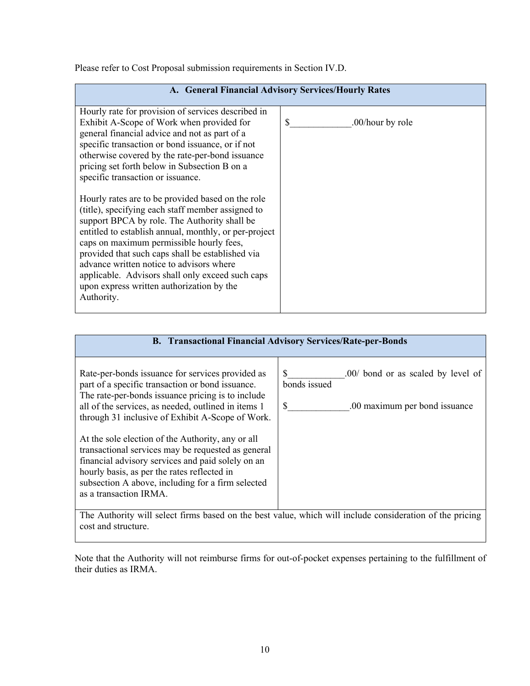Please refer to Cost Proposal submission requirements in Section IV.D.

| A. General Financial Advisory Services/Hourly Rates                                                                                                                                                                                                                                                                                                                                                                                                                        |                                   |  |  |  |  |  |
|----------------------------------------------------------------------------------------------------------------------------------------------------------------------------------------------------------------------------------------------------------------------------------------------------------------------------------------------------------------------------------------------------------------------------------------------------------------------------|-----------------------------------|--|--|--|--|--|
| Hourly rate for provision of services described in<br>Exhibit A-Scope of Work when provided for<br>general financial advice and not as part of a<br>specific transaction or bond issuance, or if not<br>otherwise covered by the rate-per-bond issuance<br>pricing set forth below in Subsection B on a<br>specific transaction or issuance.                                                                                                                               | <sup>\$</sup><br>.00/hour by role |  |  |  |  |  |
| Hourly rates are to be provided based on the role<br>(title), specifying each staff member assigned to<br>support BPCA by role. The Authority shall be<br>entitled to establish annual, monthly, or per-project<br>caps on maximum permissible hourly fees,<br>provided that such caps shall be established via<br>advance written notice to advisors where<br>applicable. Advisors shall only exceed such caps<br>upon express written authorization by the<br>Authority. |                                   |  |  |  |  |  |

| <b>B. Transactional Financial Advisory Services/Rate-per-Bonds</b>                                                                                                                                                                                                                                                                                                                                                                                                                                                                                                 |                                                                                                 |  |  |  |  |
|--------------------------------------------------------------------------------------------------------------------------------------------------------------------------------------------------------------------------------------------------------------------------------------------------------------------------------------------------------------------------------------------------------------------------------------------------------------------------------------------------------------------------------------------------------------------|-------------------------------------------------------------------------------------------------|--|--|--|--|
| Rate-per-bonds issuance for services provided as<br>part of a specific transaction or bond issuance.<br>The rate-per-bonds issuance pricing is to include<br>all of the services, as needed, outlined in items 1<br>through 31 inclusive of Exhibit A-Scope of Work.<br>At the sole election of the Authority, any or all<br>transactional services may be requested as general<br>financial advisory services and paid solely on an<br>hourly basis, as per the rates reflected in<br>subsection A above, including for a firm selected<br>as a transaction IRMA. | \$<br>.00/ bond or as scaled by level of<br>bonds issued<br>\$<br>.00 maximum per bond issuance |  |  |  |  |
| The Authority will select firms based on the best value, which will include consideration of the pricing<br>cost and structure.                                                                                                                                                                                                                                                                                                                                                                                                                                    |                                                                                                 |  |  |  |  |

Note that the Authority will not reimburse firms for out-of-pocket expenses pertaining to the fulfillment of their duties as IRMA.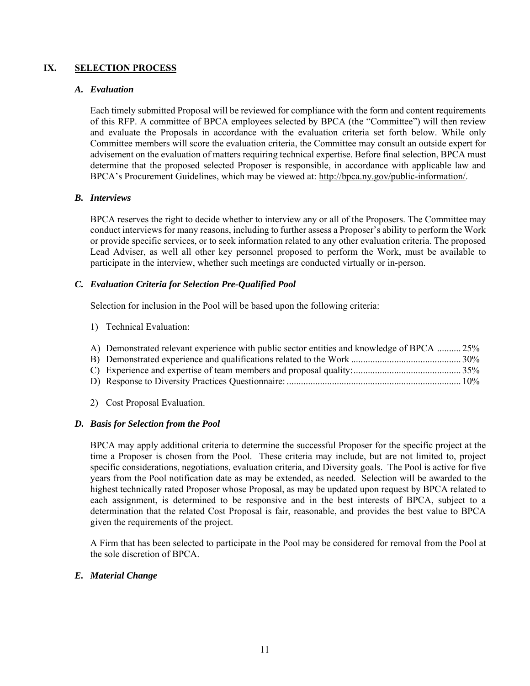### **IX. SELECTION PROCESS**

#### *A. Evaluation*

Each timely submitted Proposal will be reviewed for compliance with the form and content requirements of this RFP. A committee of BPCA employees selected by BPCA (the "Committee") will then review and evaluate the Proposals in accordance with the evaluation criteria set forth below. While only Committee members will score the evaluation criteria, the Committee may consult an outside expert for advisement on the evaluation of matters requiring technical expertise. Before final selection, BPCA must determine that the proposed selected Proposer is responsible, in accordance with applicable law and BPCA's Procurement Guidelines, which may be viewed at: http://bpca.ny.gov/public-information/.

### *B. Interviews*

BPCA reserves the right to decide whether to interview any or all of the Proposers. The Committee may conduct interviews for many reasons, including to further assess a Proposer's ability to perform the Work or provide specific services, or to seek information related to any other evaluation criteria. The proposed Lead Adviser, as well all other key personnel proposed to perform the Work, must be available to participate in the interview, whether such meetings are conducted virtually or in-person.

### *C. Evaluation Criteria for Selection Pre-Qualified Pool*

Selection for inclusion in the Pool will be based upon the following criteria:

1) Technical Evaluation:

| A) Demonstrated relevant experience with public sector entities and knowledge of BPCA  25% |  |
|--------------------------------------------------------------------------------------------|--|
|                                                                                            |  |
|                                                                                            |  |
|                                                                                            |  |
|                                                                                            |  |

2) Cost Proposal Evaluation.

### *D. Basis for Selection from the Pool*

BPCA may apply additional criteria to determine the successful Proposer for the specific project at the time a Proposer is chosen from the Pool. These criteria may include, but are not limited to, project specific considerations, negotiations, evaluation criteria, and Diversity goals. The Pool is active for five years from the Pool notification date as may be extended, as needed. Selection will be awarded to the highest technically rated Proposer whose Proposal, as may be updated upon request by BPCA related to each assignment, is determined to be responsive and in the best interests of BPCA, subject to a determination that the related Cost Proposal is fair, reasonable, and provides the best value to BPCA given the requirements of the project.

A Firm that has been selected to participate in the Pool may be considered for removal from the Pool at the sole discretion of BPCA.

### *E. Material Change*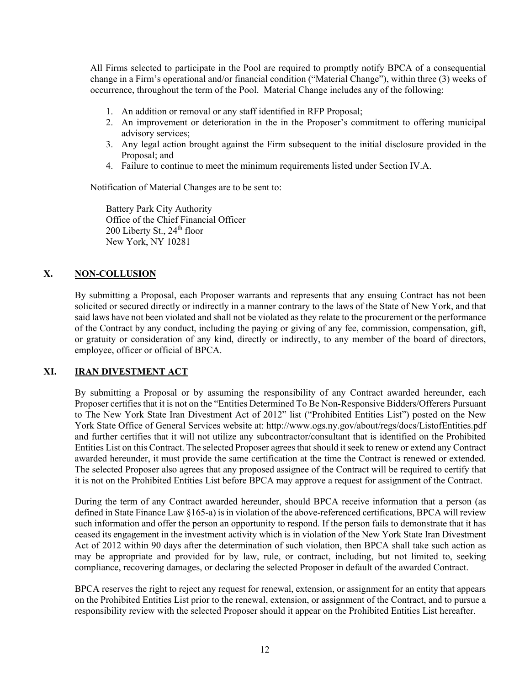All Firms selected to participate in the Pool are required to promptly notify BPCA of a consequential change in a Firm's operational and/or financial condition ("Material Change"), within three (3) weeks of occurrence, throughout the term of the Pool. Material Change includes any of the following:

- 1. An addition or removal or any staff identified in RFP Proposal;
- 2. An improvement or deterioration in the in the Proposer's commitment to offering municipal advisory services;
- 3. Any legal action brought against the Firm subsequent to the initial disclosure provided in the Proposal; and
- 4. Failure to continue to meet the minimum requirements listed under Section IV.A.

Notification of Material Changes are to be sent to:

Battery Park City Authority Office of the Chief Financial Officer 200 Liberty St., 24<sup>th</sup> floor New York, NY 10281

### **X. NON-COLLUSION**

By submitting a Proposal, each Proposer warrants and represents that any ensuing Contract has not been solicited or secured directly or indirectly in a manner contrary to the laws of the State of New York, and that said laws have not been violated and shall not be violated as they relate to the procurement or the performance of the Contract by any conduct, including the paying or giving of any fee, commission, compensation, gift, or gratuity or consideration of any kind, directly or indirectly, to any member of the board of directors, employee, officer or official of BPCA.

### **XI. IRAN DIVESTMENT ACT**

By submitting a Proposal or by assuming the responsibility of any Contract awarded hereunder, each Proposer certifies that it is not on the "Entities Determined To Be Non-Responsive Bidders/Offerers Pursuant to The New York State Iran Divestment Act of 2012" list ("Prohibited Entities List") posted on the New York State Office of General Services website at: http://www.ogs.ny.gov/about/regs/docs/ListofEntities.pdf and further certifies that it will not utilize any subcontractor/consultant that is identified on the Prohibited Entities List on this Contract. The selected Proposer agrees that should it seek to renew or extend any Contract awarded hereunder, it must provide the same certification at the time the Contract is renewed or extended. The selected Proposer also agrees that any proposed assignee of the Contract will be required to certify that it is not on the Prohibited Entities List before BPCA may approve a request for assignment of the Contract.

During the term of any Contract awarded hereunder, should BPCA receive information that a person (as defined in State Finance Law §165-a) is in violation of the above-referenced certifications, BPCA will review such information and offer the person an opportunity to respond. If the person fails to demonstrate that it has ceased its engagement in the investment activity which is in violation of the New York State Iran Divestment Act of 2012 within 90 days after the determination of such violation, then BPCA shall take such action as may be appropriate and provided for by law, rule, or contract, including, but not limited to, seeking compliance, recovering damages, or declaring the selected Proposer in default of the awarded Contract.

BPCA reserves the right to reject any request for renewal, extension, or assignment for an entity that appears on the Prohibited Entities List prior to the renewal, extension, or assignment of the Contract, and to pursue a responsibility review with the selected Proposer should it appear on the Prohibited Entities List hereafter.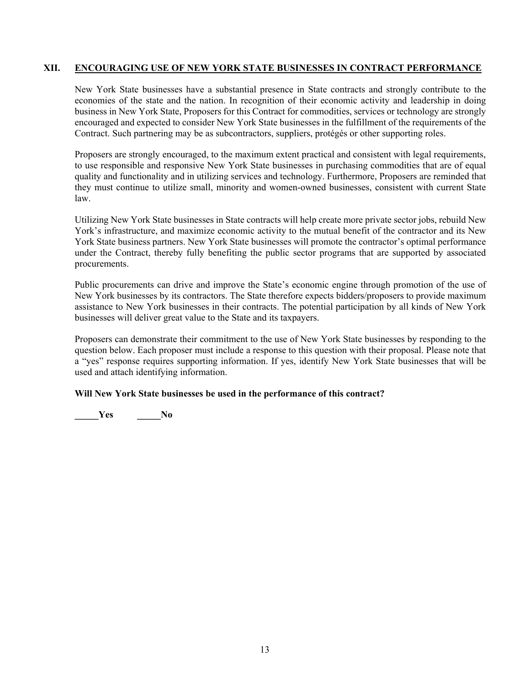### **XII. ENCOURAGING USE OF NEW YORK STATE BUSINESSES IN CONTRACT PERFORMANCE**

New York State businesses have a substantial presence in State contracts and strongly contribute to the economies of the state and the nation. In recognition of their economic activity and leadership in doing business in New York State, Proposers for this Contract for commodities, services or technology are strongly encouraged and expected to consider New York State businesses in the fulfillment of the requirements of the Contract. Such partnering may be as subcontractors, suppliers, protégés or other supporting roles.

Proposers are strongly encouraged, to the maximum extent practical and consistent with legal requirements, to use responsible and responsive New York State businesses in purchasing commodities that are of equal quality and functionality and in utilizing services and technology. Furthermore, Proposers are reminded that they must continue to utilize small, minority and women-owned businesses, consistent with current State law.

Utilizing New York State businesses in State contracts will help create more private sector jobs, rebuild New York's infrastructure, and maximize economic activity to the mutual benefit of the contractor and its New York State business partners. New York State businesses will promote the contractor's optimal performance under the Contract, thereby fully benefiting the public sector programs that are supported by associated procurements.

Public procurements can drive and improve the State's economic engine through promotion of the use of New York businesses by its contractors. The State therefore expects bidders/proposers to provide maximum assistance to New York businesses in their contracts. The potential participation by all kinds of New York businesses will deliver great value to the State and its taxpayers.

Proposers can demonstrate their commitment to the use of New York State businesses by responding to the question below. Each proposer must include a response to this question with their proposal. Please note that a "yes" response requires supporting information. If yes, identify New York State businesses that will be used and attach identifying information.

### **Will New York State businesses be used in the performance of this contract?**

**\_\_\_\_\_Yes \_\_\_\_\_No**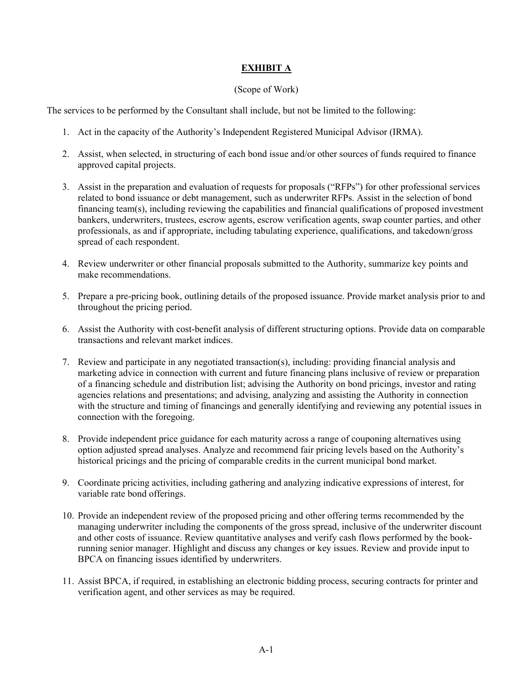### **EXHIBIT A**

#### (Scope of Work)

The services to be performed by the Consultant shall include, but not be limited to the following:

- 1. Act in the capacity of the Authority's Independent Registered Municipal Advisor (IRMA).
- 2. Assist, when selected, in structuring of each bond issue and/or other sources of funds required to finance approved capital projects.
- 3. Assist in the preparation and evaluation of requests for proposals ("RFPs") for other professional services related to bond issuance or debt management, such as underwriter RFPs. Assist in the selection of bond financing team(s), including reviewing the capabilities and financial qualifications of proposed investment bankers, underwriters, trustees, escrow agents, escrow verification agents, swap counter parties, and other professionals, as and if appropriate, including tabulating experience, qualifications, and takedown/gross spread of each respondent.
- 4. Review underwriter or other financial proposals submitted to the Authority, summarize key points and make recommendations.
- 5. Prepare a pre-pricing book, outlining details of the proposed issuance. Provide market analysis prior to and throughout the pricing period.
- 6. Assist the Authority with cost-benefit analysis of different structuring options. Provide data on comparable transactions and relevant market indices.
- 7. Review and participate in any negotiated transaction(s), including: providing financial analysis and marketing advice in connection with current and future financing plans inclusive of review or preparation of a financing schedule and distribution list; advising the Authority on bond pricings, investor and rating agencies relations and presentations; and advising, analyzing and assisting the Authority in connection with the structure and timing of financings and generally identifying and reviewing any potential issues in connection with the foregoing.
- 8. Provide independent price guidance for each maturity across a range of couponing alternatives using option adjusted spread analyses. Analyze and recommend fair pricing levels based on the Authority's historical pricings and the pricing of comparable credits in the current municipal bond market.
- 9. Coordinate pricing activities, including gathering and analyzing indicative expressions of interest, for variable rate bond offerings.
- 10. Provide an independent review of the proposed pricing and other offering terms recommended by the managing underwriter including the components of the gross spread, inclusive of the underwriter discount and other costs of issuance. Review quantitative analyses and verify cash flows performed by the bookrunning senior manager. Highlight and discuss any changes or key issues. Review and provide input to BPCA on financing issues identified by underwriters.
- 11. Assist BPCA, if required, in establishing an electronic bidding process, securing contracts for printer and verification agent, and other services as may be required.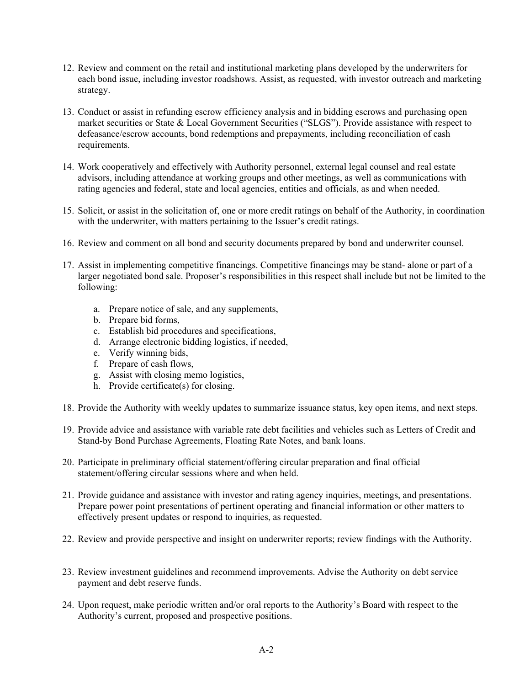- 12. Review and comment on the retail and institutional marketing plans developed by the underwriters for each bond issue, including investor roadshows. Assist, as requested, with investor outreach and marketing strategy.
- 13. Conduct or assist in refunding escrow efficiency analysis and in bidding escrows and purchasing open market securities or State & Local Government Securities ("SLGS"). Provide assistance with respect to defeasance/escrow accounts, bond redemptions and prepayments, including reconciliation of cash requirements.
- 14. Work cooperatively and effectively with Authority personnel, external legal counsel and real estate advisors, including attendance at working groups and other meetings, as well as communications with rating agencies and federal, state and local agencies, entities and officials, as and when needed.
- 15. Solicit, or assist in the solicitation of, one or more credit ratings on behalf of the Authority, in coordination with the underwriter, with matters pertaining to the Issuer's credit ratings.
- 16. Review and comment on all bond and security documents prepared by bond and underwriter counsel.
- 17. Assist in implementing competitive financings. Competitive financings may be stand- alone or part of a larger negotiated bond sale. Proposer's responsibilities in this respect shall include but not be limited to the following:
	- a. Prepare notice of sale, and any supplements,
	- b. Prepare bid forms,
	- c. Establish bid procedures and specifications,
	- d. Arrange electronic bidding logistics, if needed,
	- e. Verify winning bids,
	- f. Prepare of cash flows,
	- g. Assist with closing memo logistics,
	- h. Provide certificate(s) for closing.
- 18. Provide the Authority with weekly updates to summarize issuance status, key open items, and next steps.
- 19. Provide advice and assistance with variable rate debt facilities and vehicles such as Letters of Credit and Stand-by Bond Purchase Agreements, Floating Rate Notes, and bank loans.
- 20. Participate in preliminary official statement/offering circular preparation and final official statement/offering circular sessions where and when held.
- 21. Provide guidance and assistance with investor and rating agency inquiries, meetings, and presentations. Prepare power point presentations of pertinent operating and financial information or other matters to effectively present updates or respond to inquiries, as requested.
- 22. Review and provide perspective and insight on underwriter reports; review findings with the Authority.
- 23. Review investment guidelines and recommend improvements. Advise the Authority on debt service payment and debt reserve funds.
- 24. Upon request, make periodic written and/or oral reports to the Authority's Board with respect to the Authority's current, proposed and prospective positions.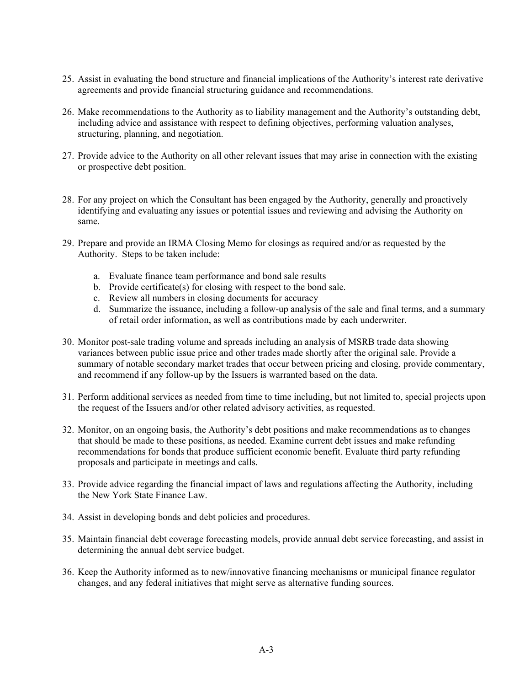- 25. Assist in evaluating the bond structure and financial implications of the Authority's interest rate derivative agreements and provide financial structuring guidance and recommendations.
- 26. Make recommendations to the Authority as to liability management and the Authority's outstanding debt, including advice and assistance with respect to defining objectives, performing valuation analyses, structuring, planning, and negotiation.
- 27. Provide advice to the Authority on all other relevant issues that may arise in connection with the existing or prospective debt position.
- 28. For any project on which the Consultant has been engaged by the Authority, generally and proactively identifying and evaluating any issues or potential issues and reviewing and advising the Authority on same.
- 29. Prepare and provide an IRMA Closing Memo for closings as required and/or as requested by the Authority. Steps to be taken include:
	- a. Evaluate finance team performance and bond sale results
	- b. Provide certificate(s) for closing with respect to the bond sale.
	- c. Review all numbers in closing documents for accuracy
	- d. Summarize the issuance, including a follow-up analysis of the sale and final terms, and a summary of retail order information, as well as contributions made by each underwriter.
- 30. Monitor post-sale trading volume and spreads including an analysis of MSRB trade data showing variances between public issue price and other trades made shortly after the original sale. Provide a summary of notable secondary market trades that occur between pricing and closing, provide commentary, and recommend if any follow-up by the Issuers is warranted based on the data.
- 31. Perform additional services as needed from time to time including, but not limited to, special projects upon the request of the Issuers and/or other related advisory activities, as requested.
- 32. Monitor, on an ongoing basis, the Authority's debt positions and make recommendations as to changes that should be made to these positions, as needed. Examine current debt issues and make refunding recommendations for bonds that produce sufficient economic benefit. Evaluate third party refunding proposals and participate in meetings and calls.
- 33. Provide advice regarding the financial impact of laws and regulations affecting the Authority, including the New York State Finance Law.
- 34. Assist in developing bonds and debt policies and procedures.
- 35. Maintain financial debt coverage forecasting models, provide annual debt service forecasting, and assist in determining the annual debt service budget.
- 36. Keep the Authority informed as to new/innovative financing mechanisms or municipal finance regulator changes, and any federal initiatives that might serve as alternative funding sources.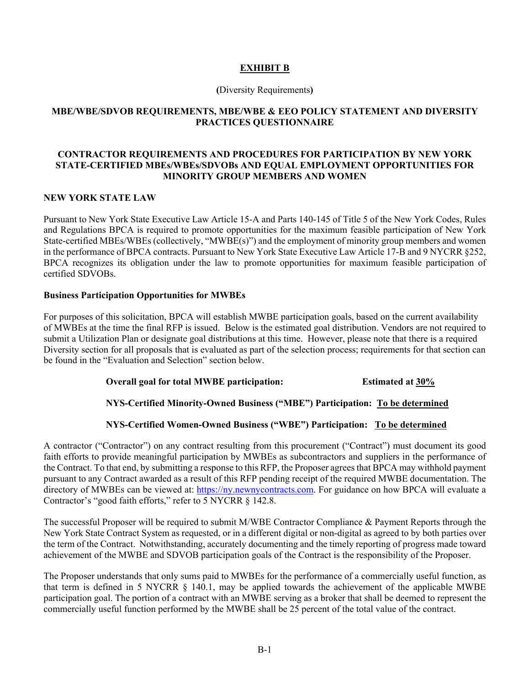### **EXHIBIT B**

#### **(**Diversity Requirements**)**

### **MBE/WBE/SDVOB REQUIREMENTS, MBE/WBE & EEO POLICY STATEMENT AND DIVERSITY PRACTICES QUESTIONNAIRE**

### **CONTRACTOR REQUIREMENTS AND PROCEDURES FOR PARTICIPATION BY NEW YORK STATE-CERTIFIED MBEs/WBEs/SDVOBs AND EQUAL EMPLOYMENT OPPORTUNITIES FOR MINORITY GROUP MEMBERS AND WOMEN**

### **NEW YORK STATE LAW**

Pursuant to New York State Executive Law Article 15-A and Parts 140-145 of Title 5 of the New York Codes, Rules and Regulations BPCA is required to promote opportunities for the maximum feasible participation of New York State-certified MBEs/WBEs (collectively, "MWBE(s)") and the employment of minority group members and women in the performance of BPCA contracts. Pursuant to New York State Executive Law Article 17-B and 9 NYCRR §252, BPCA recognizes its obligation under the law to promote opportunities for maximum feasible participation of certified SDVOBs.

### **Business Participation Opportunities for MWBEs**

For purposes of this solicitation, BPCA will establish MWBE participation goals, based on the current availability of MWBEs at the time the final RFP is issued. Below is the estimated goal distribution. Vendors are not required to submit a Utilization Plan or designate goal distributions at this time. However, please note that there is a required Diversity section for all proposals that is evaluated as part of the selection process; requirements for that section can be found in the "Evaluation and Selection" section below.

### **Overall goal for total MWBE participation: Estimated at 30%**

### **NYS-Certified Minority-Owned Business ("MBE") Participation: To be determined**

### **NYS-Certified Women-Owned Business ("WBE") Participation: To be determined**

A contractor ("Contractor") on any contract resulting from this procurement ("Contract") must document its good faith efforts to provide meaningful participation by MWBEs as subcontractors and suppliers in the performance of the Contract. To that end, by submitting a response to this RFP, the Proposer agrees that BPCA may withhold payment pursuant to any Contract awarded as a result of this RFP pending receipt of the required MWBE documentation. The directory of MWBEs can be viewed at: https://ny.newnycontracts.com. For guidance on how BPCA will evaluate a Contractor's "good faith efforts," refer to 5 NYCRR § 142.8.

The successful Proposer will be required to submit M/WBE Contractor Compliance & Payment Reports through the New York State Contract System as requested, or in a different digital or non-digital as agreed to by both parties over the term of the Contract. Notwithstanding, accurately documenting and the timely reporting of progress made toward achievement of the MWBE and SDVOB participation goals of the Contract is the responsibility of the Proposer.

The Proposer understands that only sums paid to MWBEs for the performance of a commercially useful function, as that term is defined in 5 NYCRR § 140.1, may be applied towards the achievement of the applicable MWBE participation goal. The portion of a contract with an MWBE serving as a broker that shall be deemed to represent the commercially useful function performed by the MWBE shall be 25 percent of the total value of the contract.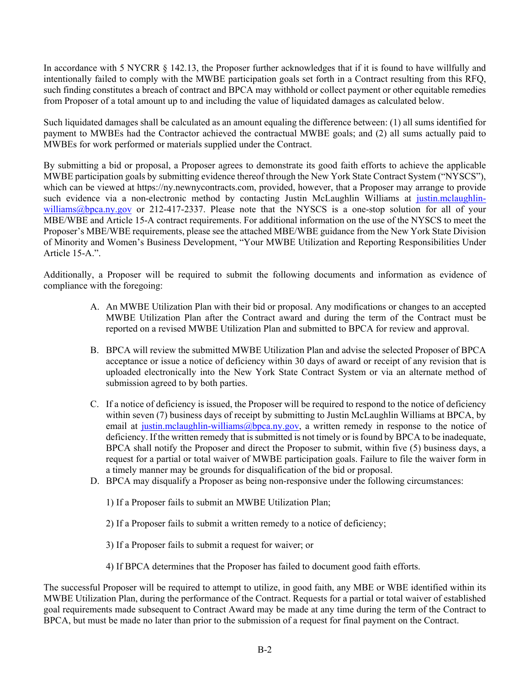In accordance with 5 NYCRR  $\S$  142.13, the Proposer further acknowledges that if it is found to have willfully and intentionally failed to comply with the MWBE participation goals set forth in a Contract resulting from this RFQ, such finding constitutes a breach of contract and BPCA may withhold or collect payment or other equitable remedies from Proposer of a total amount up to and including the value of liquidated damages as calculated below.

Such liquidated damages shall be calculated as an amount equaling the difference between: (1) all sums identified for payment to MWBEs had the Contractor achieved the contractual MWBE goals; and (2) all sums actually paid to MWBEs for work performed or materials supplied under the Contract.

By submitting a bid or proposal, a Proposer agrees to demonstrate its good faith efforts to achieve the applicable MWBE participation goals by submitting evidence thereof through the New York State Contract System ("NYSCS"), which can be viewed at https://ny.newnycontracts.com, provided, however, that a Proposer may arrange to provide such evidence via a non-electronic method by contacting Justin McLaughlin Williams at justin.mclaughlinwilliams@bpca.ny.gov or 212-417-2337. Please note that the NYSCS is a one-stop solution for all of your MBE/WBE and Article 15-A contract requirements. For additional information on the use of the NYSCS to meet the Proposer's MBE/WBE requirements, please see the attached MBE/WBE guidance from the New York State Division of Minority and Women's Business Development, "Your MWBE Utilization and Reporting Responsibilities Under Article 15-A.".

Additionally, a Proposer will be required to submit the following documents and information as evidence of compliance with the foregoing:

- A. An MWBE Utilization Plan with their bid or proposal. Any modifications or changes to an accepted MWBE Utilization Plan after the Contract award and during the term of the Contract must be reported on a revised MWBE Utilization Plan and submitted to BPCA for review and approval.
- B. BPCA will review the submitted MWBE Utilization Plan and advise the selected Proposer of BPCA acceptance or issue a notice of deficiency within 30 days of award or receipt of any revision that is uploaded electronically into the New York State Contract System or via an alternate method of submission agreed to by both parties.
- C. If a notice of deficiency is issued, the Proposer will be required to respond to the notice of deficiency within seven (7) business days of receipt by submitting to Justin McLaughlin Williams at BPCA, by email at justin.mclaughlin-williams@bpca.ny.gov, a written remedy in response to the notice of deficiency. If the written remedy that is submitted is not timely or is found by BPCA to be inadequate, BPCA shall notify the Proposer and direct the Proposer to submit, within five (5) business days, a request for a partial or total waiver of MWBE participation goals. Failure to file the waiver form in a timely manner may be grounds for disqualification of the bid or proposal.
- D. BPCA may disqualify a Proposer as being non-responsive under the following circumstances:
	- 1) If a Proposer fails to submit an MWBE Utilization Plan;
	- 2) If a Proposer fails to submit a written remedy to a notice of deficiency;
	- 3) If a Proposer fails to submit a request for waiver; or
	- 4) If BPCA determines that the Proposer has failed to document good faith efforts.

The successful Proposer will be required to attempt to utilize, in good faith, any MBE or WBE identified within its MWBE Utilization Plan, during the performance of the Contract. Requests for a partial or total waiver of established goal requirements made subsequent to Contract Award may be made at any time during the term of the Contract to BPCA, but must be made no later than prior to the submission of a request for final payment on the Contract.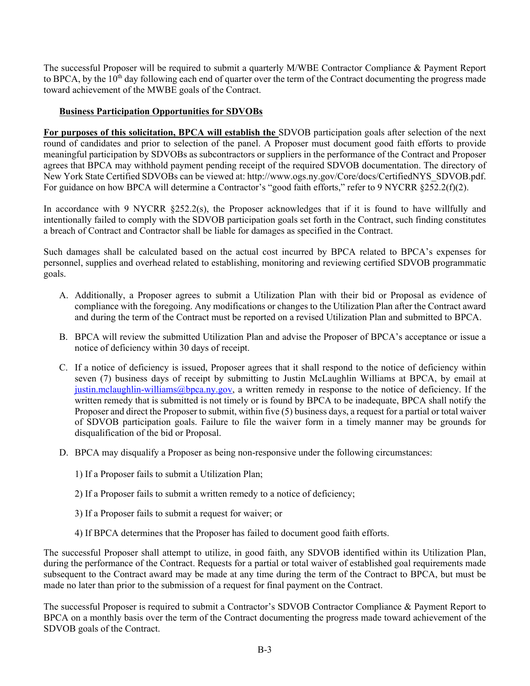The successful Proposer will be required to submit a quarterly M/WBE Contractor Compliance & Payment Report to BPCA, by the 10<sup>th</sup> day following each end of quarter over the term of the Contract documenting the progress made toward achievement of the MWBE goals of the Contract.

### **Business Participation Opportunities for SDVOBs**

**For purposes of this solicitation, BPCA will establish the** SDVOB participation goals after selection of the next round of candidates and prior to selection of the panel. A Proposer must document good faith efforts to provide meaningful participation by SDVOBs as subcontractors or suppliers in the performance of the Contract and Proposer agrees that BPCA may withhold payment pending receipt of the required SDVOB documentation. The directory of New York State Certified SDVOBs can be viewed at: http://www.ogs.ny.gov/Core/docs/CertifiedNYS\_SDVOB.pdf. For guidance on how BPCA will determine a Contractor's "good faith efforts," refer to 9 NYCRR §252.2(f)(2).

In accordance with 9 NYCRR  $\S252.2(s)$ , the Proposer acknowledges that if it is found to have willfully and intentionally failed to comply with the SDVOB participation goals set forth in the Contract, such finding constitutes a breach of Contract and Contractor shall be liable for damages as specified in the Contract.

Such damages shall be calculated based on the actual cost incurred by BPCA related to BPCA's expenses for personnel, supplies and overhead related to establishing, monitoring and reviewing certified SDVOB programmatic goals.

- A. Additionally, a Proposer agrees to submit a Utilization Plan with their bid or Proposal as evidence of compliance with the foregoing. Any modifications or changes to the Utilization Plan after the Contract award and during the term of the Contract must be reported on a revised Utilization Plan and submitted to BPCA.
- B. BPCA will review the submitted Utilization Plan and advise the Proposer of BPCA's acceptance or issue a notice of deficiency within 30 days of receipt.
- C. If a notice of deficiency is issued, Proposer agrees that it shall respond to the notice of deficiency within seven (7) business days of receipt by submitting to Justin McLaughlin Williams at BPCA, by email at justin.mclaughlin-williams@bpca.ny.gov, a written remedy in response to the notice of deficiency. If the written remedy that is submitted is not timely or is found by BPCA to be inadequate, BPCA shall notify the Proposer and direct the Proposer to submit, within five (5) business days, a request for a partial or total waiver of SDVOB participation goals. Failure to file the waiver form in a timely manner may be grounds for disqualification of the bid or Proposal.
- D. BPCA may disqualify a Proposer as being non-responsive under the following circumstances:
	- 1) If a Proposer fails to submit a Utilization Plan;
	- 2) If a Proposer fails to submit a written remedy to a notice of deficiency;
	- 3) If a Proposer fails to submit a request for waiver; or
	- 4) If BPCA determines that the Proposer has failed to document good faith efforts.

The successful Proposer shall attempt to utilize, in good faith, any SDVOB identified within its Utilization Plan, during the performance of the Contract. Requests for a partial or total waiver of established goal requirements made subsequent to the Contract award may be made at any time during the term of the Contract to BPCA, but must be made no later than prior to the submission of a request for final payment on the Contract.

The successful Proposer is required to submit a Contractor's SDVOB Contractor Compliance & Payment Report to BPCA on a monthly basis over the term of the Contract documenting the progress made toward achievement of the SDVOB goals of the Contract.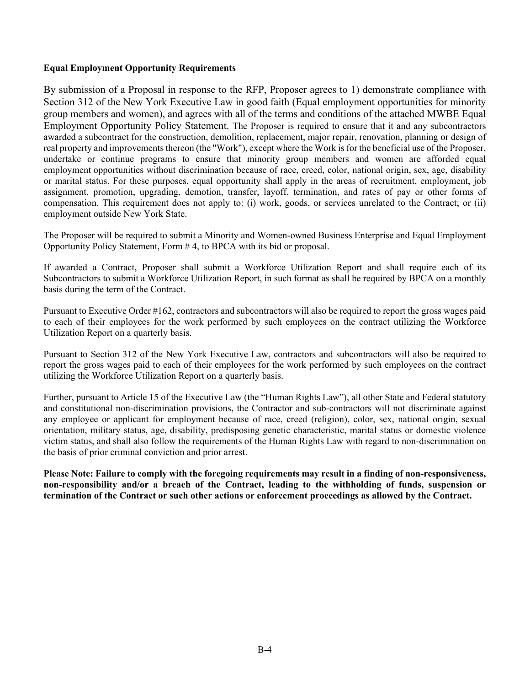### **Equal Employment Opportunity Requirements**

By submission of a Proposal in response to the RFP, Proposer agrees to 1) demonstrate compliance with Section 312 of the New York Executive Law in good faith (Equal employment opportunities for minority group members and women), and agrees with all of the terms and conditions of the attached MWBE Equal Employment Opportunity Policy Statement. The Proposer is required to ensure that it and any subcontractors awarded a subcontract for the construction, demolition, replacement, major repair, renovation, planning or design of real property and improvements thereon (the "Work"), except where the Work is for the beneficial use of the Proposer, undertake or continue programs to ensure that minority group members and women are afforded equal employment opportunities without discrimination because of race, creed, color, national origin, sex, age, disability or marital status. For these purposes, equal opportunity shall apply in the areas of recruitment, employment, job assignment, promotion, upgrading, demotion, transfer, layoff, termination, and rates of pay or other forms of compensation. This requirement does not apply to: (i) work, goods, or services unrelated to the Contract; or (ii) employment outside New York State.

The Proposer will be required to submit a Minority and Women-owned Business Enterprise and Equal Employment Opportunity Policy Statement, Form # 4, to BPCA with its bid or proposal.

If awarded a Contract, Proposer shall submit a Workforce Utilization Report and shall require each of its Subcontractors to submit a Workforce Utilization Report, in such format as shall be required by BPCA on a monthly basis during the term of the Contract.

Pursuant to Executive Order #162, contractors and subcontractors will also be required to report the gross wages paid to each of their employees for the work performed by such employees on the contract utilizing the Workforce Utilization Report on a quarterly basis.

Pursuant to Section 312 of the New York Executive Law, contractors and subcontractors will also be required to report the gross wages paid to each of their employees for the work performed by such employees on the contract utilizing the Workforce Utilization Report on a quarterly basis.

Further, pursuant to Article 15 of the Executive Law (the "Human Rights Law"), all other State and Federal statutory and constitutional non-discrimination provisions, the Contractor and sub-contractors will not discriminate against any employee or applicant for employment because of race, creed (religion), color, sex, national origin, sexual orientation, military status, age, disability, predisposing genetic characteristic, marital status or domestic violence victim status, and shall also follow the requirements of the Human Rights Law with regard to non-discrimination on the basis of prior criminal conviction and prior arrest.

**Please Note: Failure to comply with the foregoing requirements may result in a finding of non-responsiveness, non-responsibility and/or a breach of the Contract, leading to the withholding of funds, suspension or termination of the Contract or such other actions or enforcement proceedings as allowed by the Contract.**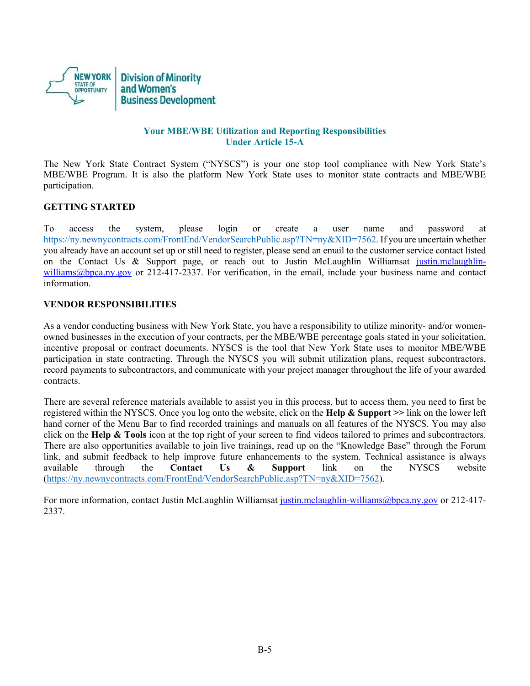

### **Your MBE/WBE Utilization and Reporting Responsibilities Under Article 15-A**

The New York State Contract System ("NYSCS") is your one stop tool compliance with New York State's MBE/WBE Program. It is also the platform New York State uses to monitor state contracts and MBE/WBE participation.

### **GETTING STARTED**

To access the system, please login or create a user name and password at https://ny.newnycontracts.com/FrontEnd/VendorSearchPublic.asp?TN=ny&XID=7562. If you are uncertain whether you already have an account set up or still need to register, please send an email to the customer service contact listed on the Contact Us & Support page, or reach out to Justin McLaughlin Williamsat justin.mclaughlinwilliams@bpca.ny.gov or 212-417-2337. For verification, in the email, include your business name and contact information.

### **VENDOR RESPONSIBILITIES**

As a vendor conducting business with New York State, you have a responsibility to utilize minority- and/or womenowned businesses in the execution of your contracts, per the MBE/WBE percentage goals stated in your solicitation, incentive proposal or contract documents. NYSCS is the tool that New York State uses to monitor MBE/WBE participation in state contracting. Through the NYSCS you will submit utilization plans, request subcontractors, record payments to subcontractors, and communicate with your project manager throughout the life of your awarded contracts.

There are several reference materials available to assist you in this process, but to access them, you need to first be registered within the NYSCS. Once you log onto the website, click on the **Help & Support >>** link on the lower left hand corner of the Menu Bar to find recorded trainings and manuals on all features of the NYSCS. You may also click on the **Help & Tools** icon at the top right of your screen to find videos tailored to primes and subcontractors. There are also opportunities available to join live trainings, read up on the "Knowledge Base" through the Forum link, and submit feedback to help improve future enhancements to the system. Technical assistance is always available through the **Contact Us & Support** link on the NYSCS website (https://ny.newnycontracts.com/FrontEnd/VendorSearchPublic.asp?TN=ny&XID=7562).

For more information, contact Justin McLaughlin Williamsat justin.mclaughlin-williams@bpca.ny.gov or 212-417-2337.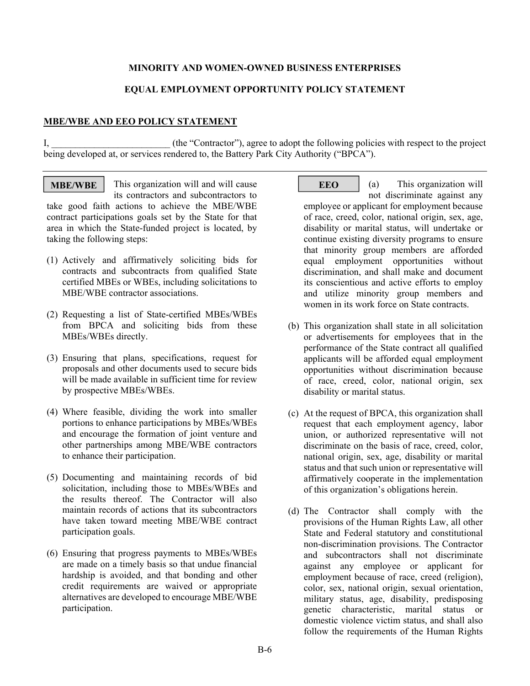### **MINORITY AND WOMEN-OWNED BUSINESS ENTERPRISES**

### **EQUAL EMPLOYMENT OPPORTUNITY POLICY STATEMENT**

### **MBE/WBE AND EEO POLICY STATEMENT**

I, the "Contractor"), agree to adopt the following policies with respect to the project being developed at, or services rendered to, the Battery Park City Authority ("BPCA").

**MBE/WBE** This organization will and will cause EEO its contractors and subcontractors to take good faith actions to achieve the MBE/WBE contract participations goals set by the State for that area in which the State-funded project is located, by taking the following steps:

- (1) Actively and affirmatively soliciting bids for contracts and subcontracts from qualified State certified MBEs or WBEs, including solicitations to MBE/WBE contractor associations.
- (2) Requesting a list of State-certified MBEs/WBEs from BPCA and soliciting bids from these MBEs/WBEs directly.
- (3) Ensuring that plans, specifications, request for proposals and other documents used to secure bids will be made available in sufficient time for review by prospective MBEs/WBEs.
- (4) Where feasible, dividing the work into smaller portions to enhance participations by MBEs/WBEs and encourage the formation of joint venture and other partnerships among MBE/WBE contractors to enhance their participation.
- (5) Documenting and maintaining records of bid solicitation, including those to MBEs/WBEs and the results thereof. The Contractor will also maintain records of actions that its subcontractors have taken toward meeting MBE/WBE contract participation goals.
- (6) Ensuring that progress payments to MBEs/WBEs are made on a timely basis so that undue financial hardship is avoided, and that bonding and other credit requirements are waived or appropriate alternatives are developed to encourage MBE/WBE participation.

(a) This organization will

not discriminate against any employee or applicant for employment because of race, creed, color, national origin, sex, age, disability or marital status, will undertake or continue existing diversity programs to ensure that minority group members are afforded equal employment opportunities without discrimination, and shall make and document its conscientious and active efforts to employ and utilize minority group members and women in its work force on State contracts.

- (b) This organization shall state in all solicitation or advertisements for employees that in the performance of the State contract all qualified applicants will be afforded equal employment opportunities without discrimination because of race, creed, color, national origin, sex disability or marital status.
- (c) At the request of BPCA, this organization shall request that each employment agency, labor union, or authorized representative will not discriminate on the basis of race, creed, color, national origin, sex, age, disability or marital status and that such union or representative will affirmatively cooperate in the implementation of this organization's obligations herein.
- (d) The Contractor shall comply with the provisions of the Human Rights Law, all other State and Federal statutory and constitutional non-discrimination provisions. The Contractor and subcontractors shall not discriminate against any employee or applicant for employment because of race, creed (religion), color, sex, national origin, sexual orientation, military status, age, disability, predisposing genetic characteristic, marital status or domestic violence victim status, and shall also follow the requirements of the Human Rights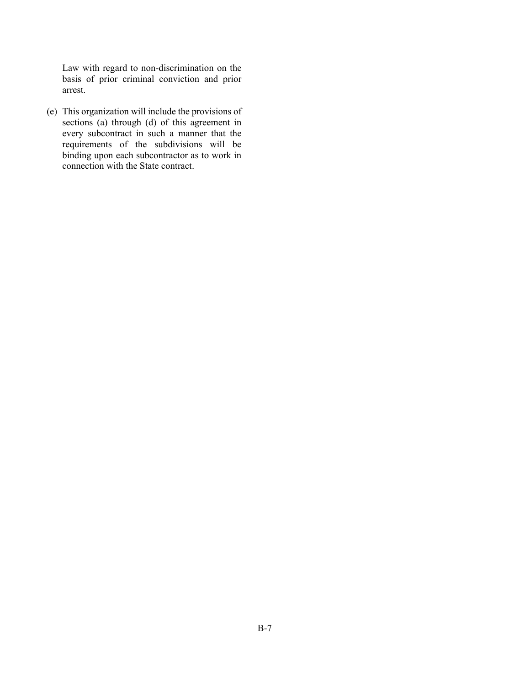Law with regard to non-discrimination on the basis of prior criminal conviction and prior arrest.

(e) This organization will include the provisions of sections (a) through (d) of this agreement in every subcontract in such a manner that the requirements of the subdivisions will be binding upon each subcontractor as to work in connection with the State contract.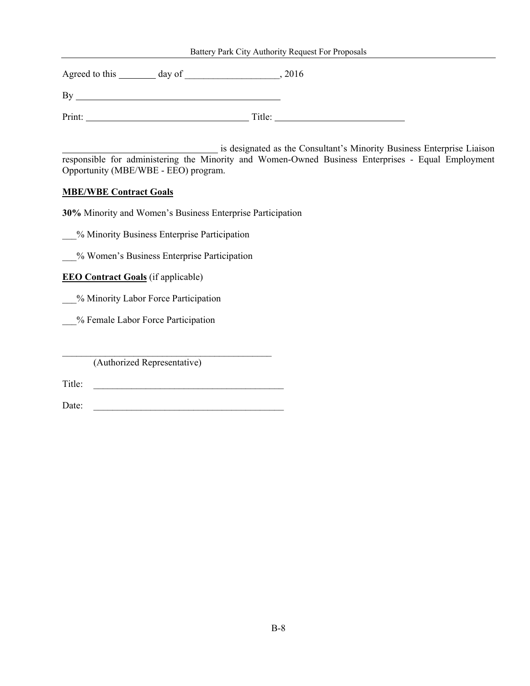#### Battery Park City Authority Request For Proposals

Agreed to this day of \_\_\_\_\_\_\_\_\_\_\_\_\_\_\_\_\_\_\_\_, 2016

By

Print: Title: Title: Title: Title: Title: Title: Title: Title: Title: Title: Title: Title: Title: Title: Title: Title: Title: Title: Title: Title: Title: Title: Title: Title: Title: Title: Title: Title: Title: Title: Title

 is designated as the Consultant's Minority Business Enterprise Liaison responsible for administering the Minority and Women-Owned Business Enterprises - Equal Employment Opportunity (MBE/WBE - EEO) program.

### **MBE/WBE Contract Goals**

**30%** Minority and Women's Business Enterprise Participation

\_\_\_% Minority Business Enterprise Participation

\_\_\_% Women's Business Enterprise Participation

**EEO Contract Goals** (if applicable)

\_\_\_% Minority Labor Force Participation

\_\_\_% Female Labor Force Participation

(Authorized Representative)

Title: \_\_\_\_\_\_\_\_\_\_\_\_\_\_\_\_\_\_\_\_\_\_\_\_\_\_\_\_\_\_\_\_\_\_\_\_\_\_\_\_

 $\mathcal{L}_\text{max}$  and the contract of the contract of the contract of the contract of the contract of the contract of the contract of the contract of the contract of the contract of the contract of the contract of the contrac

Date: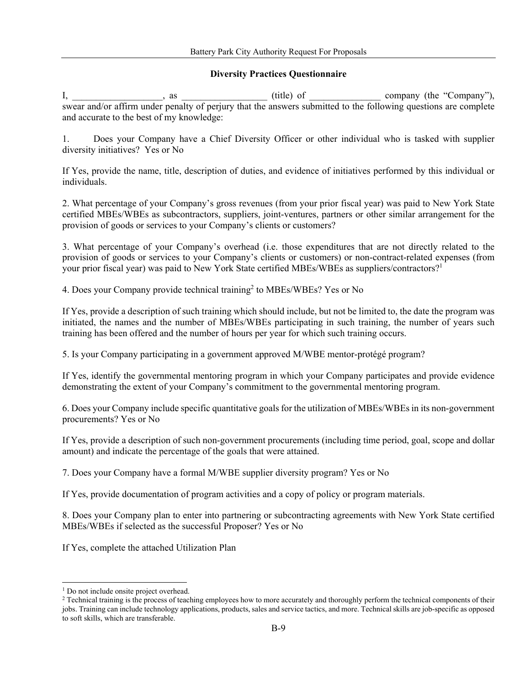### **Diversity Practices Questionnaire**

 $I, \underline{\hspace{1cm}}$  as  $\underline{\hspace{1cm}}$  as  $\underline{\hspace{1cm}}$  (title) of  $\underline{\hspace{1cm}}$  company (the "Company"), swear and/or affirm under penalty of perjury that the answers submitted to the following questions are complete and accurate to the best of my knowledge:

1. Does your Company have a Chief Diversity Officer or other individual who is tasked with supplier diversity initiatives? Yes or No

If Yes, provide the name, title, description of duties, and evidence of initiatives performed by this individual or individuals.

2. What percentage of your Company's gross revenues (from your prior fiscal year) was paid to New York State certified MBEs/WBEs as subcontractors, suppliers, joint-ventures, partners or other similar arrangement for the provision of goods or services to your Company's clients or customers?

3. What percentage of your Company's overhead (i.e. those expenditures that are not directly related to the provision of goods or services to your Company's clients or customers) or non-contract-related expenses (from your prior fiscal year) was paid to New York State certified MBEs/WBEs as suppliers/contractors?<sup>1</sup>

4. Does your Company provide technical training<sup>2</sup> to MBEs/WBEs? Yes or No

If Yes, provide a description of such training which should include, but not be limited to, the date the program was initiated, the names and the number of MBEs/WBEs participating in such training, the number of years such training has been offered and the number of hours per year for which such training occurs.

5. Is your Company participating in a government approved M/WBE mentor-protégé program?

If Yes, identify the governmental mentoring program in which your Company participates and provide evidence demonstrating the extent of your Company's commitment to the governmental mentoring program.

6. Does your Company include specific quantitative goals for the utilization of MBEs/WBEs in its non-government procurements? Yes or No

If Yes, provide a description of such non-government procurements (including time period, goal, scope and dollar amount) and indicate the percentage of the goals that were attained.

7. Does your Company have a formal M/WBE supplier diversity program? Yes or No

If Yes, provide documentation of program activities and a copy of policy or program materials.

8. Does your Company plan to enter into partnering or subcontracting agreements with New York State certified MBEs/WBEs if selected as the successful Proposer? Yes or No

If Yes, complete the attached Utilization Plan

-

<sup>&</sup>lt;sup>1</sup> Do not include onsite project overhead.<br><sup>2</sup> Technical training is the process of teaching employees how to more accurately and thoroughly perform the technical components of their jobs. Training can include technology applications, products, sales and service tactics, and more. Technical skills are job-specific as opposed to soft skills, which are transferable.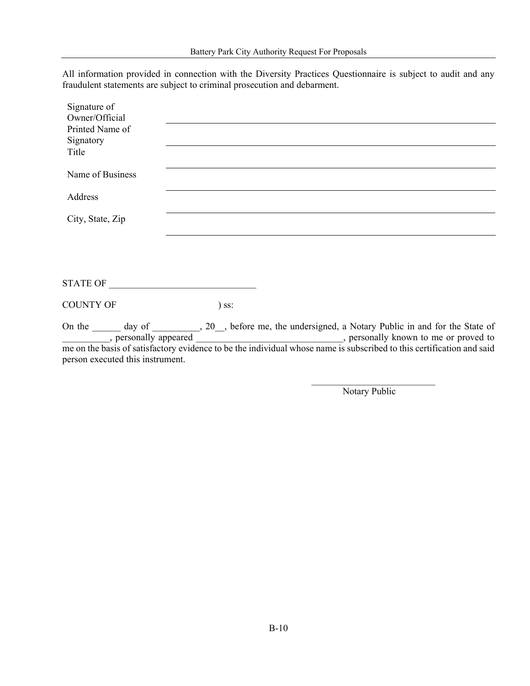All information provided in connection with the Diversity Practices Questionnaire is subject to audit and any fraudulent statements are subject to criminal prosecution and debarment.

| Signature of<br>Owner/Official |         |                                                                                             |
|--------------------------------|---------|---------------------------------------------------------------------------------------------|
| Printed Name of<br>Signatory   |         |                                                                                             |
| Title                          |         |                                                                                             |
| Name of Business               |         |                                                                                             |
| Address                        |         |                                                                                             |
| City, State, Zip               |         |                                                                                             |
|                                |         |                                                                                             |
|                                |         |                                                                                             |
| STATE OF                       |         |                                                                                             |
| <b>COUNTY OF</b>               | $)$ ss: |                                                                                             |
| , personally appeared          |         | On the 100 m day of 20, before me, the undersigned, a Notary Public in and for the State of |

me on the basis of satisfactory evidence to be the individual whose name is subscribed to this certification and said person executed this instrument.

Notary Public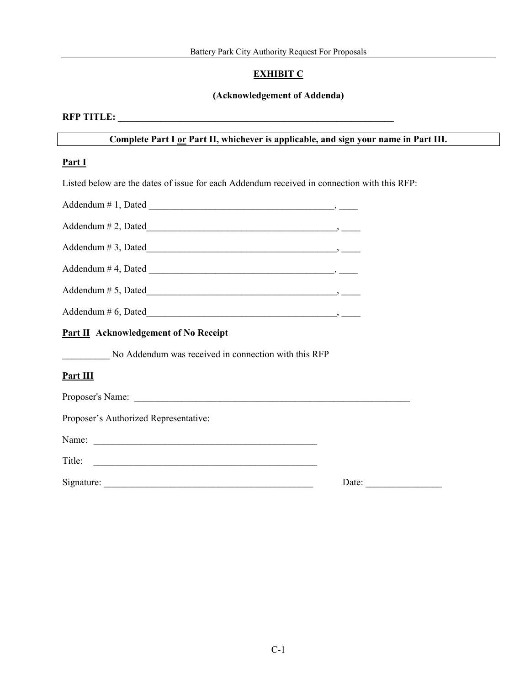### **EXHIBIT C**

### **(Acknowledgement of Addenda)**

### **RFP TITLE: \_\_\_\_\_\_\_\_\_\_\_\_\_\_\_\_\_\_\_\_\_\_\_\_\_\_\_\_\_\_\_\_\_\_\_\_\_\_\_\_\_\_\_\_\_\_\_\_\_\_\_\_\_\_\_\_\_\_**

### **Complete Part I or Part II, whichever is applicable, and sign your name in Part III.**

#### **Part I**

Listed below are the dates of issue for each Addendum received in connection with this RFP:

| Addendum $# 2$ , Dated                                                                                                                                                                                                                                                                                      |  |
|-------------------------------------------------------------------------------------------------------------------------------------------------------------------------------------------------------------------------------------------------------------------------------------------------------------|--|
|                                                                                                                                                                                                                                                                                                             |  |
|                                                                                                                                                                                                                                                                                                             |  |
| $Addendum \# 5, Dated$                                                                                                                                                                                                                                                                                      |  |
| Addendum # 6, Dated $\frac{1}{2}$ $\frac{1}{2}$ $\frac{1}{2}$ $\frac{1}{2}$ $\frac{1}{2}$ $\frac{1}{2}$ $\frac{1}{2}$ $\frac{1}{2}$ $\frac{1}{2}$ $\frac{1}{2}$ $\frac{1}{2}$ $\frac{1}{2}$ $\frac{1}{2}$ $\frac{1}{2}$ $\frac{1}{2}$ $\frac{1}{2}$ $\frac{1}{2}$ $\frac{1}{2}$ $\frac{1}{2}$ $\frac{1}{2}$ |  |
| <b>Part II Acknowledgement of No Receipt</b>                                                                                                                                                                                                                                                                |  |

\_\_\_\_\_\_\_\_\_\_ No Addendum was received in connection with this RFP

### **Part III**

Proposer's Name:

Proposer's Authorized Representative:

Name: \_\_\_\_\_\_\_\_\_\_\_\_\_\_\_\_\_\_\_\_\_\_\_\_\_\_\_\_\_\_\_\_\_\_\_\_\_\_\_\_\_\_\_\_\_\_\_

Title:

Signature: \_\_\_\_\_\_\_\_\_\_\_\_\_\_\_\_\_\_\_\_\_\_\_\_\_\_\_\_\_\_\_\_\_\_\_\_\_\_\_\_\_\_\_\_ Date: \_\_\_\_\_\_\_\_\_\_\_\_\_\_\_\_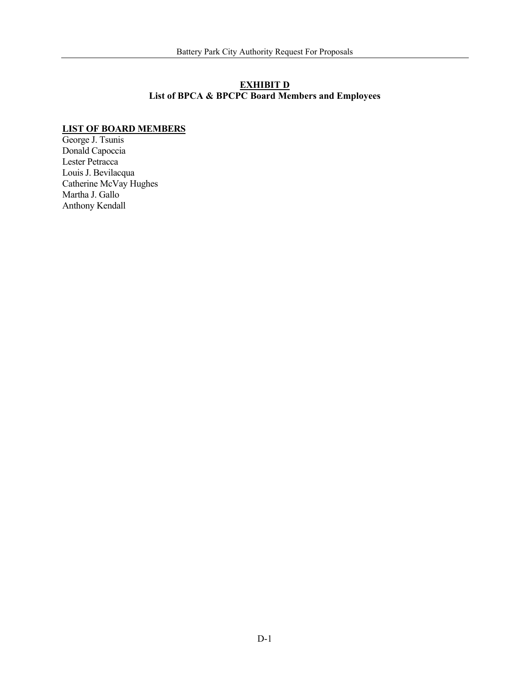### **EXHIBIT D List of BPCA & BPCPC Board Members and Employees**

### **LIST OF BOARD MEMBERS**

George J. Tsunis Donald Capoccia Lester Petracca Louis J. Bevilacqua Catherine McVay Hughes Martha J. Gallo Anthony Kendall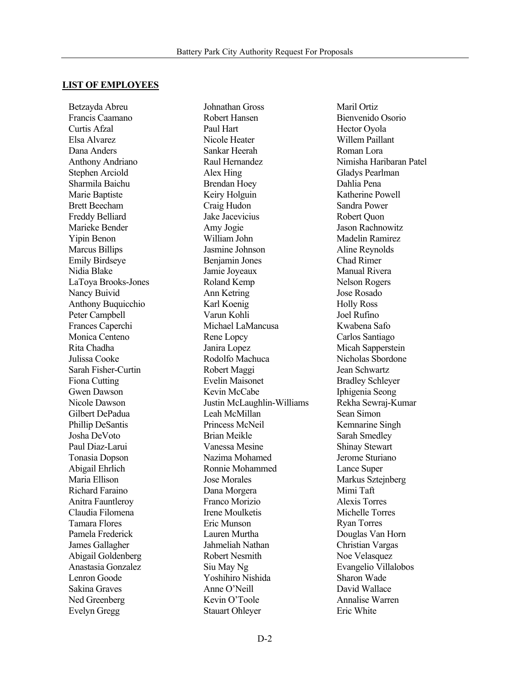### **LIST OF EMPLOYEES**

Betzayda Abreu Francis Caamano Curtis Afzal Elsa Alvarez Dana Anders Anthony Andriano Stephen Arciold Sharmila Baichu Marie Baptiste Brett Beecham Freddy Belliard Marieke Bender Yipin Benon Marcus Billips Emily Birdseye Nidia Blake LaToya Brooks-Jones Nancy Buivid Anthony Buquicchio Peter Campbell Frances Caperchi Monica Centeno Rita Chadha Julissa Cooke Sarah Fisher-Curtin Fiona Cutting Gwen Dawson Nicole Dawson Gilbert DePadua Phillip DeSantis Josha DeVoto Paul Diaz-Larui Tonasia Dopson Abigail Ehrlich Maria Ellison Richard Faraino Anitra Fauntleroy Claudia Filomena Tamara Flores Pamela Frederick James Gallagher Abigail Goldenberg Anastasia Gonzalez Lenron Goode Sakina Graves Ned Greenberg Evelyn Gregg

Johnathan Gross Robert Hansen Paul Hart Nicole Heater Sankar Heerah Raul Hernandez Alex Hing Brendan Hoey Keiry Holguin Craig Hudon Jake Jacevicius Amy Jogie William John Jasmine Johnson Benjamin Jones Jamie Joyeaux Roland Kemp Ann Ketring Karl Koenig Varun Kohli Michael LaMancusa Rene Lopcy Janira Lopez Rodolfo Machuca Robert Maggi Evelin Maisonet Kevin McCabe Justin McLaughlin-Williams Leah McMillan Princess McNeil Brian Meikle Vanessa Mesine Nazima Mohamed Ronnie Mohammed Jose Morales Dana Morgera Franco Morizio Irene Moulketis Eric Munson Lauren Murtha Jahmeliah Nathan Robert Nesmith Siu May Ng Yoshihiro Nishida Anne O'Neill Kevin O'Toole Stauart Ohleyer

Maril Ortiz Bienvenido Osorio Hector Oyola Willem Paillant Roman Lora Nimisha Haribaran Patel Gladys Pearlman Dahlia Pena Katherine Powell Sandra Power Robert Quon Jason Rachnowitz Madelin Ramirez Aline Reynolds Chad Rimer Manual Rivera Nelson Rogers Jose Rosado Holly Ross Joel Rufino Kwabena Safo Carlos Santiago Micah Sapperstein Nicholas Sbordone Jean Schwartz Bradley Schleyer Iphigenia Seong Rekha Sewraj-Kumar Sean Simon Kemnarine Singh Sarah Smedley Shinay Stewart Jerome Sturiano Lance Super Markus Sztejnberg Mimi Taft Alexis Torres Michelle Torres Ryan Torres Douglas Van Horn Christian Vargas Noe Velasquez Evangelio Villalobos Sharon Wade David Wallace Annalise Warren Eric White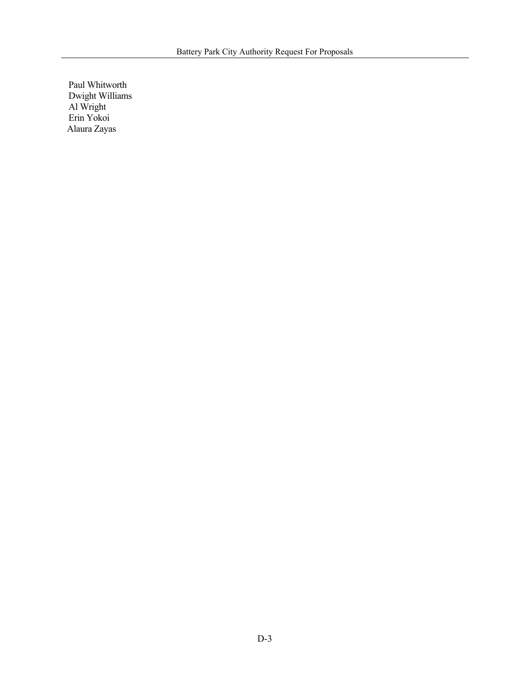Paul Whitworth Dwight Williams Al Wright Erin Yokoi Alaura Zayas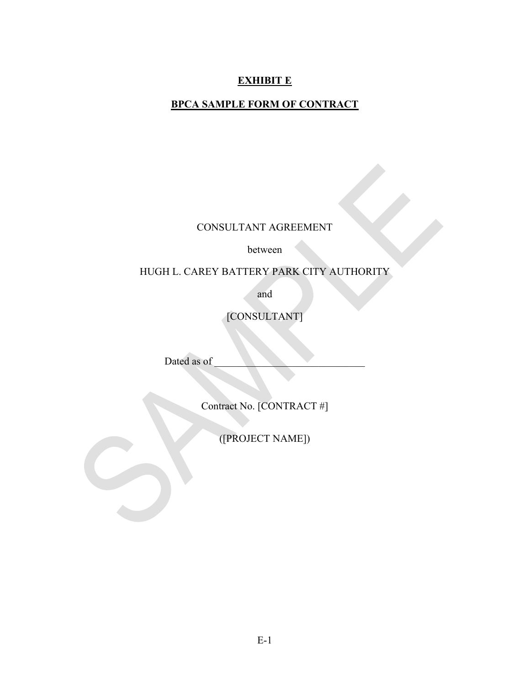# **EXHIBIT E**

# **BPCA SAMPLE FORM OF CONTRACT**

CONSULTANT AGREEMENT

between

HUGH L. CAREY BATTERY PARK CITY AUTHORITY

and

[CONSULTANT]

Dated as of

Contract No. [CONTRACT #]

([PROJECT NAME])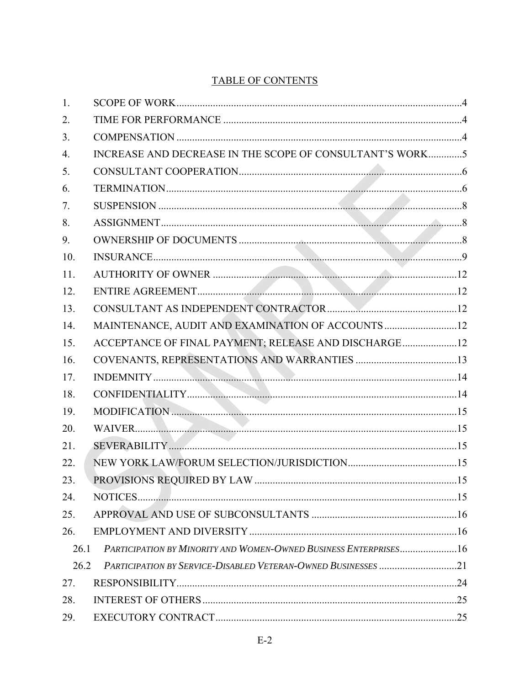# **TABLE OF CONTENTS**

| 1.   |                                                                  |  |
|------|------------------------------------------------------------------|--|
| 2.   |                                                                  |  |
| 3.   |                                                                  |  |
| 4.   | INCREASE AND DECREASE IN THE SCOPE OF CONSULTANT'S WORK5         |  |
| 5.   |                                                                  |  |
| 6.   |                                                                  |  |
| 7.   |                                                                  |  |
| 8.   |                                                                  |  |
| 9.   |                                                                  |  |
| 10.  |                                                                  |  |
| 11.  |                                                                  |  |
| 12.  |                                                                  |  |
| 13.  |                                                                  |  |
| 14.  | MAINTENANCE, AUDIT AND EXAMINATION OF ACCOUNTS 12                |  |
| 15.  | ACCEPTANCE OF FINAL PAYMENT; RELEASE AND DISCHARGE12             |  |
| 16.  |                                                                  |  |
| 17.  |                                                                  |  |
| 18.  |                                                                  |  |
| 19.  |                                                                  |  |
| 20.  |                                                                  |  |
| 21.  |                                                                  |  |
| 22.  |                                                                  |  |
| 23.  |                                                                  |  |
| 24.  |                                                                  |  |
| 25.  |                                                                  |  |
| 26.  |                                                                  |  |
| 26.1 | PARTICIPATION BY MINORITY AND WOMEN-OWNED BUSINESS ENTERPRISES16 |  |
| 26.2 | PARTICIPATION BY SERVICE-DISABLED VETERAN-OWNED BUSINESSES 21    |  |
| 27.  |                                                                  |  |
| 28.  |                                                                  |  |
| 29.  |                                                                  |  |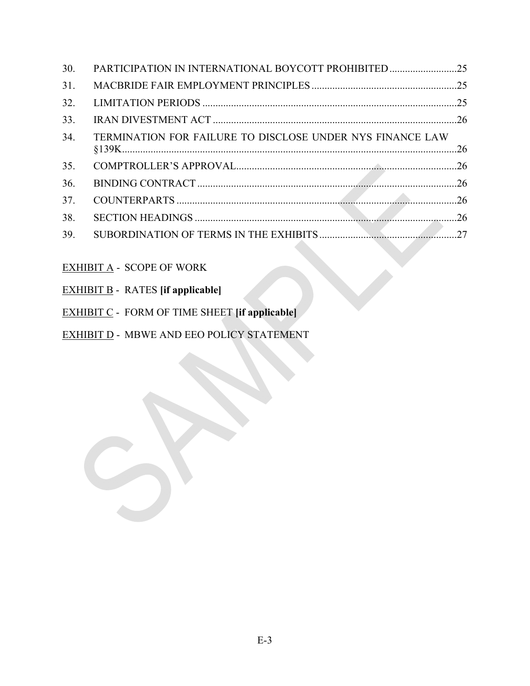| TERMINATION FOR FAILURE TO DISCLOSE UNDER NYS FINANCE LAW |                                                     |
|-----------------------------------------------------------|-----------------------------------------------------|
|                                                           |                                                     |
|                                                           |                                                     |
|                                                           |                                                     |
|                                                           |                                                     |
|                                                           |                                                     |
|                                                           | PARTICIPATION IN INTERNATIONAL BOYCOTT PROHIBITED25 |

# EXHIBIT A - SCOPE OF WORK

|  |  | <b>EXHIBIT B</b> - RATES [if applicable] |
|--|--|------------------------------------------|
|--|--|------------------------------------------|

- EXHIBIT C FORM OF TIME SHEET **[if applicable]**
- EXHIBIT **D** MBWE AND EEO POLICY STATEMENT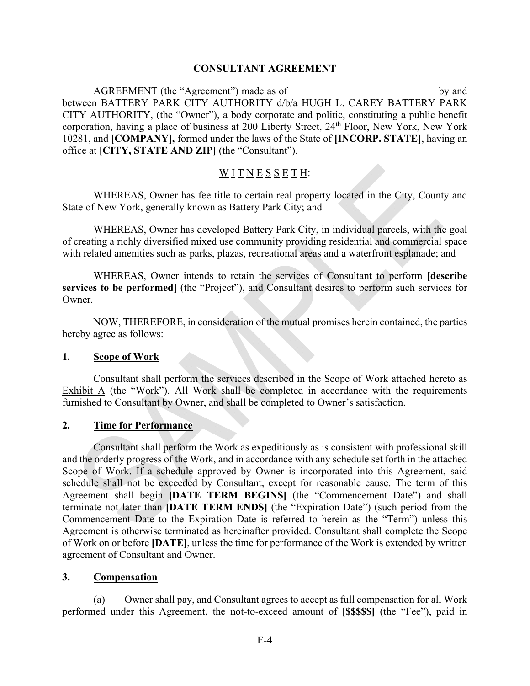### **CONSULTANT AGREEMENT**

AGREEMENT (the "Agreement") made as of by and between BATTERY PARK CITY AUTHORITY d/b/a HUGH L. CAREY BATTERY PARK CITY AUTHORITY, (the "Owner"), a body corporate and politic, constituting a public benefit corporation, having a place of business at 200 Liberty Street, 24<sup>th</sup> Floor, New York, New York 10281, and **[COMPANY],** formed under the laws of the State of **[INCORP. STATE]**, having an office at **[CITY, STATE AND ZIP]** (the "Consultant").

# $\underline{W}$  <u>I</u>  $\underline{T}$   $\underline{N}$   $\underline{E}$   $\underline{S}$   $\underline{S}$   $\underline{E}$   $\underline{T}$   $\underline{H}$ :

WHEREAS, Owner has fee title to certain real property located in the City, County and State of New York, generally known as Battery Park City; and

WHEREAS, Owner has developed Battery Park City, in individual parcels, with the goal of creating a richly diversified mixed use community providing residential and commercial space with related amenities such as parks, plazas, recreational areas and a waterfront esplanade; and

WHEREAS, Owner intends to retain the services of Consultant to perform **[describe services to be performed]** (the "Project"), and Consultant desires to perform such services for Owner.

NOW, THEREFORE, in consideration of the mutual promises herein contained, the parties hereby agree as follows:

### **1. Scope of Work**

Consultant shall perform the services described in the Scope of Work attached hereto as Exhibit A (the "Work"). All Work shall be completed in accordance with the requirements furnished to Consultant by Owner, and shall be completed to Owner's satisfaction.

### **2. Time for Performance**

Consultant shall perform the Work as expeditiously as is consistent with professional skill and the orderly progress of the Work, and in accordance with any schedule set forth in the attached Scope of Work. If a schedule approved by Owner is incorporated into this Agreement, said schedule shall not be exceeded by Consultant, except for reasonable cause. The term of this Agreement shall begin **[DATE TERM BEGINS]** (the "Commencement Date") and shall terminate not later than **[DATE TERM ENDS]** (the "Expiration Date") (such period from the Commencement Date to the Expiration Date is referred to herein as the "Term") unless this Agreement is otherwise terminated as hereinafter provided. Consultant shall complete the Scope of Work on or before **[DATE]**, unless the time for performance of the Work is extended by written agreement of Consultant and Owner.

### **3. Compensation**

(a) Owner shall pay, and Consultant agrees to accept as full compensation for all Work performed under this Agreement, the not-to-exceed amount of **[\$\$\$\$\$]** (the "Fee"), paid in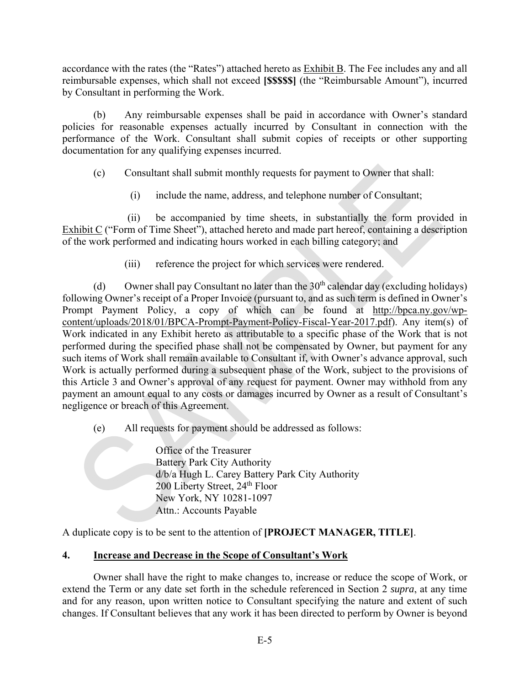accordance with the rates (the "Rates") attached hereto as **Exhibit B**. The Fee includes any and all reimbursable expenses, which shall not exceed **[\$\$\$\$\$]** (the "Reimbursable Amount"), incurred by Consultant in performing the Work.

(b) Any reimbursable expenses shall be paid in accordance with Owner's standard policies for reasonable expenses actually incurred by Consultant in connection with the performance of the Work. Consultant shall submit copies of receipts or other supporting documentation for any qualifying expenses incurred.

(c) Consultant shall submit monthly requests for payment to Owner that shall:

(i) include the name, address, and telephone number of Consultant;

(ii) be accompanied by time sheets, in substantially the form provided in Exhibit C ("Form of Time Sheet"), attached hereto and made part hereof, containing a description of the work performed and indicating hours worked in each billing category; and

(iii) reference the project for which services were rendered.

(d) Owner shall pay Consultant no later than the  $30<sup>th</sup>$  calendar day (excluding holidays) following Owner's receipt of a Proper Invoice (pursuant to, and as such term is defined in Owner's Prompt Payment Policy, a copy of which can be found at http://bpca.ny.gov/wpcontent/uploads/2018/01/BPCA-Prompt-Payment-Policy-Fiscal-Year-2017.pdf). Any item(s) of Work indicated in any Exhibit hereto as attributable to a specific phase of the Work that is not performed during the specified phase shall not be compensated by Owner, but payment for any such items of Work shall remain available to Consultant if, with Owner's advance approval, such Work is actually performed during a subsequent phase of the Work, subject to the provisions of this Article 3 and Owner's approval of any request for payment. Owner may withhold from any payment an amount equal to any costs or damages incurred by Owner as a result of Consultant's negligence or breach of this Agreement.

(e) All requests for payment should be addressed as follows:

Office of the Treasurer Battery Park City Authority d/b/a Hugh L. Carey Battery Park City Authority 200 Liberty Street, 24<sup>th</sup> Floor New York, NY 10281-1097 Attn.: Accounts Payable

A duplicate copy is to be sent to the attention of **[PROJECT MANAGER, TITLE]**.

# **4. Increase and Decrease in the Scope of Consultant's Work**

Owner shall have the right to make changes to, increase or reduce the scope of Work, or extend the Term or any date set forth in the schedule referenced in Section 2 *supra*, at any time and for any reason, upon written notice to Consultant specifying the nature and extent of such changes. If Consultant believes that any work it has been directed to perform by Owner is beyond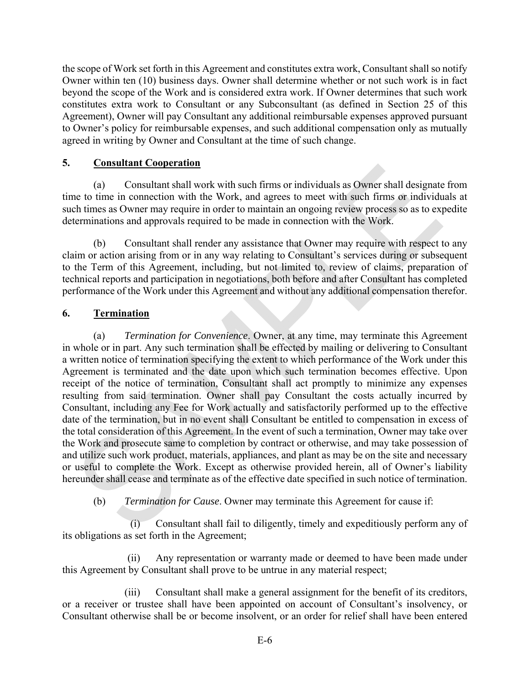the scope of Work set forth in this Agreement and constitutes extra work, Consultant shall so notify Owner within ten (10) business days. Owner shall determine whether or not such work is in fact beyond the scope of the Work and is considered extra work. If Owner determines that such work constitutes extra work to Consultant or any Subconsultant (as defined in Section 25 of this Agreement), Owner will pay Consultant any additional reimbursable expenses approved pursuant to Owner's policy for reimbursable expenses, and such additional compensation only as mutually agreed in writing by Owner and Consultant at the time of such change.

# **5. Consultant Cooperation**

(a) Consultant shall work with such firms or individuals as Owner shall designate from time to time in connection with the Work, and agrees to meet with such firms or individuals at such times as Owner may require in order to maintain an ongoing review process so as to expedite determinations and approvals required to be made in connection with the Work.

(b) Consultant shall render any assistance that Owner may require with respect to any claim or action arising from or in any way relating to Consultant's services during or subsequent to the Term of this Agreement, including, but not limited to, review of claims, preparation of technical reports and participation in negotiations, both before and after Consultant has completed performance of the Work under this Agreement and without any additional compensation therefor.

# **6. Termination**

(a) *Termination for Convenience*. Owner, at any time, may terminate this Agreement in whole or in part. Any such termination shall be effected by mailing or delivering to Consultant a written notice of termination specifying the extent to which performance of the Work under this Agreement is terminated and the date upon which such termination becomes effective. Upon receipt of the notice of termination, Consultant shall act promptly to minimize any expenses resulting from said termination. Owner shall pay Consultant the costs actually incurred by Consultant, including any Fee for Work actually and satisfactorily performed up to the effective date of the termination, but in no event shall Consultant be entitled to compensation in excess of the total consideration of this Agreement. In the event of such a termination, Owner may take over the Work and prosecute same to completion by contract or otherwise, and may take possession of and utilize such work product, materials, appliances, and plant as may be on the site and necessary or useful to complete the Work. Except as otherwise provided herein, all of Owner's liability hereunder shall cease and terminate as of the effective date specified in such notice of termination.

(b) *Termination for Cause*. Owner may terminate this Agreement for cause if:

(i) Consultant shall fail to diligently, timely and expeditiously perform any of its obligations as set forth in the Agreement;

(ii) Any representation or warranty made or deemed to have been made under this Agreement by Consultant shall prove to be untrue in any material respect;

(iii) Consultant shall make a general assignment for the benefit of its creditors, or a receiver or trustee shall have been appointed on account of Consultant's insolvency, or Consultant otherwise shall be or become insolvent, or an order for relief shall have been entered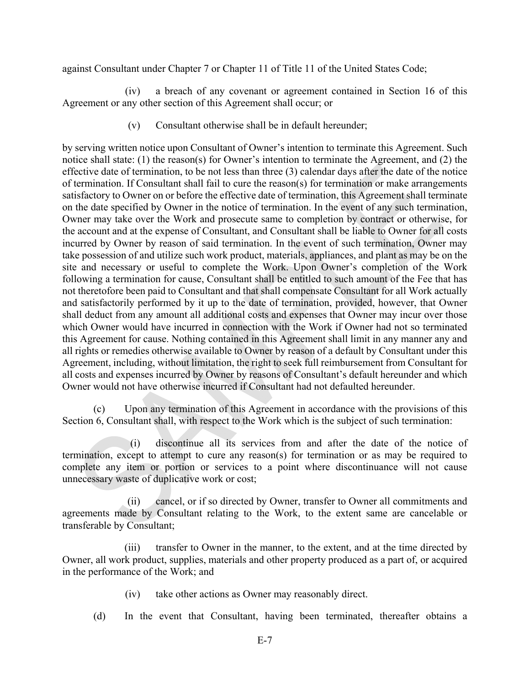against Consultant under Chapter 7 or Chapter 11 of Title 11 of the United States Code;

(iv) a breach of any covenant or agreement contained in Section 16 of this Agreement or any other section of this Agreement shall occur; or

(v) Consultant otherwise shall be in default hereunder;

by serving written notice upon Consultant of Owner's intention to terminate this Agreement. Such notice shall state: (1) the reason(s) for Owner's intention to terminate the Agreement, and (2) the effective date of termination, to be not less than three (3) calendar days after the date of the notice of termination. If Consultant shall fail to cure the reason(s) for termination or make arrangements satisfactory to Owner on or before the effective date of termination, this Agreement shall terminate on the date specified by Owner in the notice of termination. In the event of any such termination, Owner may take over the Work and prosecute same to completion by contract or otherwise, for the account and at the expense of Consultant, and Consultant shall be liable to Owner for all costs incurred by Owner by reason of said termination. In the event of such termination, Owner may take possession of and utilize such work product, materials, appliances, and plant as may be on the site and necessary or useful to complete the Work. Upon Owner's completion of the Work following a termination for cause, Consultant shall be entitled to such amount of the Fee that has not theretofore been paid to Consultant and that shall compensate Consultant for all Work actually and satisfactorily performed by it up to the date of termination, provided, however, that Owner shall deduct from any amount all additional costs and expenses that Owner may incur over those which Owner would have incurred in connection with the Work if Owner had not so terminated this Agreement for cause. Nothing contained in this Agreement shall limit in any manner any and all rights or remedies otherwise available to Owner by reason of a default by Consultant under this Agreement, including, without limitation, the right to seek full reimbursement from Consultant for all costs and expenses incurred by Owner by reasons of Consultant's default hereunder and which Owner would not have otherwise incurred if Consultant had not defaulted hereunder.

(c) Upon any termination of this Agreement in accordance with the provisions of this Section 6, Consultant shall, with respect to the Work which is the subject of such termination:

(i) discontinue all its services from and after the date of the notice of termination, except to attempt to cure any reason(s) for termination or as may be required to complete any item or portion or services to a point where discontinuance will not cause unnecessary waste of duplicative work or cost;

(ii) cancel, or if so directed by Owner, transfer to Owner all commitments and agreements made by Consultant relating to the Work, to the extent same are cancelable or transferable by Consultant;

(iii) transfer to Owner in the manner, to the extent, and at the time directed by Owner, all work product, supplies, materials and other property produced as a part of, or acquired in the performance of the Work; and

- (iv) take other actions as Owner may reasonably direct.
- (d) In the event that Consultant, having been terminated, thereafter obtains a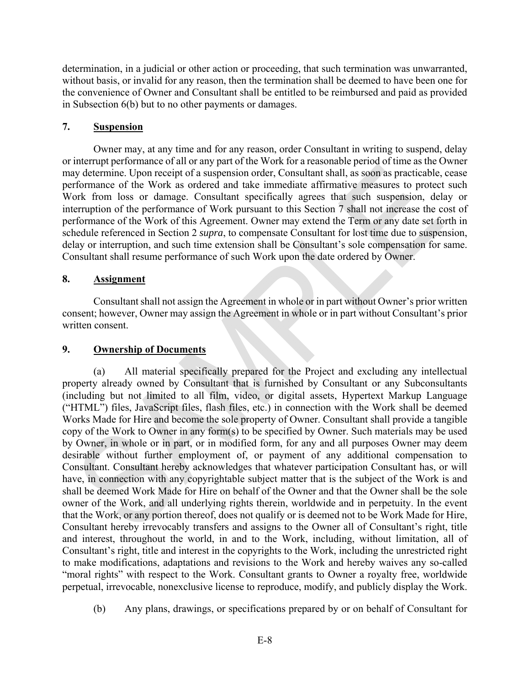determination, in a judicial or other action or proceeding, that such termination was unwarranted, without basis, or invalid for any reason, then the termination shall be deemed to have been one for the convenience of Owner and Consultant shall be entitled to be reimbursed and paid as provided in Subsection 6(b) but to no other payments or damages.

# **7. Suspension**

Owner may, at any time and for any reason, order Consultant in writing to suspend, delay or interrupt performance of all or any part of the Work for a reasonable period of time as the Owner may determine. Upon receipt of a suspension order, Consultant shall, as soon as practicable, cease performance of the Work as ordered and take immediate affirmative measures to protect such Work from loss or damage. Consultant specifically agrees that such suspension, delay or interruption of the performance of Work pursuant to this Section 7 shall not increase the cost of performance of the Work of this Agreement. Owner may extend the Term or any date set forth in schedule referenced in Section 2 *supra*, to compensate Consultant for lost time due to suspension, delay or interruption, and such time extension shall be Consultant's sole compensation for same. Consultant shall resume performance of such Work upon the date ordered by Owner.

# **8. Assignment**

Consultant shall not assign the Agreement in whole or in part without Owner's prior written consent; however, Owner may assign the Agreement in whole or in part without Consultant's prior written consent.

# **9. Ownership of Documents**

(a) All material specifically prepared for the Project and excluding any intellectual property already owned by Consultant that is furnished by Consultant or any Subconsultants (including but not limited to all film, video, or digital assets, Hypertext Markup Language ("HTML") files, JavaScript files, flash files, etc.) in connection with the Work shall be deemed Works Made for Hire and become the sole property of Owner. Consultant shall provide a tangible copy of the Work to Owner in any form(s) to be specified by Owner. Such materials may be used by Owner, in whole or in part, or in modified form, for any and all purposes Owner may deem desirable without further employment of, or payment of any additional compensation to Consultant. Consultant hereby acknowledges that whatever participation Consultant has, or will have, in connection with any copyrightable subject matter that is the subject of the Work is and shall be deemed Work Made for Hire on behalf of the Owner and that the Owner shall be the sole owner of the Work, and all underlying rights therein, worldwide and in perpetuity. In the event that the Work, or any portion thereof, does not qualify or is deemed not to be Work Made for Hire, Consultant hereby irrevocably transfers and assigns to the Owner all of Consultant's right, title and interest, throughout the world, in and to the Work, including, without limitation, all of Consultant's right, title and interest in the copyrights to the Work, including the unrestricted right to make modifications, adaptations and revisions to the Work and hereby waives any so-called "moral rights" with respect to the Work. Consultant grants to Owner a royalty free, worldwide perpetual, irrevocable, nonexclusive license to reproduce, modify, and publicly display the Work.

(b) Any plans, drawings, or specifications prepared by or on behalf of Consultant for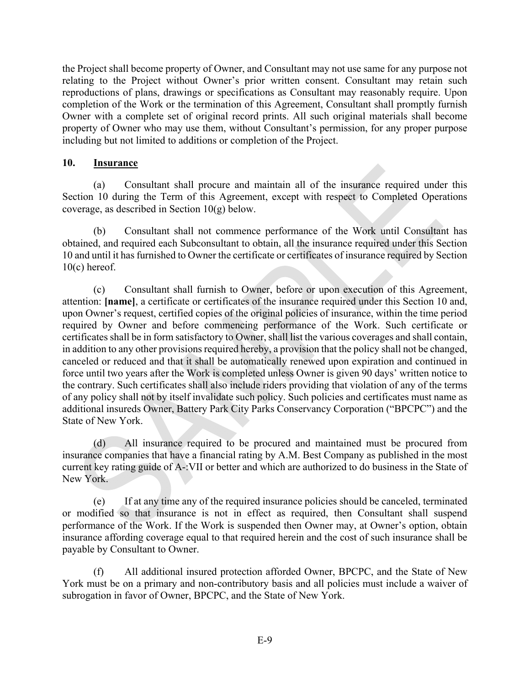the Project shall become property of Owner, and Consultant may not use same for any purpose not relating to the Project without Owner's prior written consent. Consultant may retain such reproductions of plans, drawings or specifications as Consultant may reasonably require. Upon completion of the Work or the termination of this Agreement, Consultant shall promptly furnish Owner with a complete set of original record prints. All such original materials shall become property of Owner who may use them, without Consultant's permission, for any proper purpose including but not limited to additions or completion of the Project.

### **10. Insurance**

(a) Consultant shall procure and maintain all of the insurance required under this Section 10 during the Term of this Agreement, except with respect to Completed Operations coverage, as described in Section 10(g) below.

(b) Consultant shall not commence performance of the Work until Consultant has obtained, and required each Subconsultant to obtain, all the insurance required under this Section 10 and until it has furnished to Owner the certificate or certificates of insurance required by Section  $10(c)$  hereof.

(c) Consultant shall furnish to Owner, before or upon execution of this Agreement, attention: **[name]**, a certificate or certificates of the insurance required under this Section 10 and, upon Owner's request, certified copies of the original policies of insurance, within the time period required by Owner and before commencing performance of the Work. Such certificate or certificates shall be in form satisfactory to Owner, shall list the various coverages and shall contain, in addition to any other provisions required hereby, a provision that the policy shall not be changed, canceled or reduced and that it shall be automatically renewed upon expiration and continued in force until two years after the Work is completed unless Owner is given 90 days' written notice to the contrary. Such certificates shall also include riders providing that violation of any of the terms of any policy shall not by itself invalidate such policy. Such policies and certificates must name as additional insureds Owner, Battery Park City Parks Conservancy Corporation ("BPCPC") and the State of New York.

(d) All insurance required to be procured and maintained must be procured from insurance companies that have a financial rating by A.M. Best Company as published in the most current key rating guide of A-:VII or better and which are authorized to do business in the State of New York.

(e) If at any time any of the required insurance policies should be canceled, terminated or modified so that insurance is not in effect as required, then Consultant shall suspend performance of the Work. If the Work is suspended then Owner may, at Owner's option, obtain insurance affording coverage equal to that required herein and the cost of such insurance shall be payable by Consultant to Owner.

(f) All additional insured protection afforded Owner, BPCPC, and the State of New York must be on a primary and non-contributory basis and all policies must include a waiver of subrogation in favor of Owner, BPCPC, and the State of New York.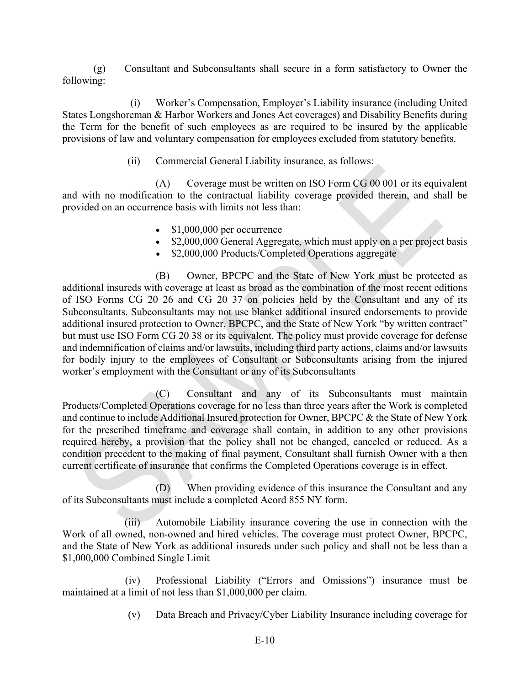(g) Consultant and Subconsultants shall secure in a form satisfactory to Owner the following:

(i) Worker's Compensation, Employer's Liability insurance (including United States Longshoreman & Harbor Workers and Jones Act coverages) and Disability Benefits during the Term for the benefit of such employees as are required to be insured by the applicable provisions of law and voluntary compensation for employees excluded from statutory benefits.

(ii) Commercial General Liability insurance, as follows:

(A) Coverage must be written on ISO Form CG 00 001 or its equivalent and with no modification to the contractual liability coverage provided therein, and shall be provided on an occurrence basis with limits not less than:

- $\bullet$  \$1,000,000 per occurrence
- \$2,000,000 General Aggregate, which must apply on a per project basis
- \$2,000,000 Products/Completed Operations aggregate

(B) Owner, BPCPC and the State of New York must be protected as additional insureds with coverage at least as broad as the combination of the most recent editions of ISO Forms CG 20 26 and CG 20 37 on policies held by the Consultant and any of its Subconsultants. Subconsultants may not use blanket additional insured endorsements to provide additional insured protection to Owner, BPCPC, and the State of New York "by written contract" but must use ISO Form CG 20 38 or its equivalent. The policy must provide coverage for defense and indemnification of claims and/or lawsuits, including third party actions, claims and/or lawsuits for bodily injury to the employees of Consultant or Subconsultants arising from the injured worker's employment with the Consultant or any of its Subconsultants

(C) Consultant and any of its Subconsultants must maintain Products/Completed Operations coverage for no less than three years after the Work is completed and continue to include Additional Insured protection for Owner, BPCPC & the State of New York for the prescribed timeframe and coverage shall contain, in addition to any other provisions required hereby, a provision that the policy shall not be changed, canceled or reduced. As a condition precedent to the making of final payment, Consultant shall furnish Owner with a then current certificate of insurance that confirms the Completed Operations coverage is in effect.

(D) When providing evidence of this insurance the Consultant and any of its Subconsultants must include a completed Acord 855 NY form.

(iii) Automobile Liability insurance covering the use in connection with the Work of all owned, non-owned and hired vehicles. The coverage must protect Owner, BPCPC, and the State of New York as additional insureds under such policy and shall not be less than a \$1,000,000 Combined Single Limit

(iv) Professional Liability ("Errors and Omissions") insurance must be maintained at a limit of not less than \$1,000,000 per claim.

(v) Data Breach and Privacy/Cyber Liability Insurance including coverage for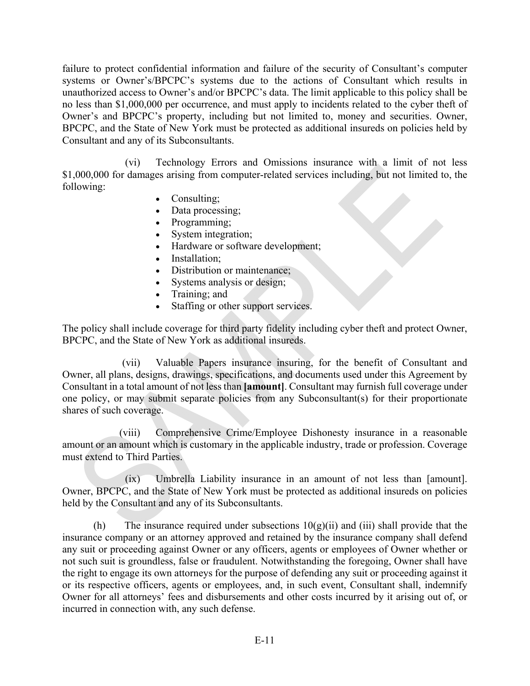failure to protect confidential information and failure of the security of Consultant's computer systems or Owner's/BPCPC's systems due to the actions of Consultant which results in unauthorized access to Owner's and/or BPCPC's data. The limit applicable to this policy shall be no less than \$1,000,000 per occurrence, and must apply to incidents related to the cyber theft of Owner's and BPCPC's property, including but not limited to, money and securities. Owner, BPCPC, and the State of New York must be protected as additional insureds on policies held by Consultant and any of its Subconsultants.

(vi) Technology Errors and Omissions insurance with a limit of not less \$1,000,000 for damages arising from computer-related services including, but not limited to, the following:

- Consulting;
- Data processing;
- Programming;
- System integration;
- Hardware or software development;
- Installation;
- Distribution or maintenance;
- Systems analysis or design;
- Training; and
- Staffing or other support services.

The policy shall include coverage for third party fidelity including cyber theft and protect Owner, BPCPC, and the State of New York as additional insureds.

(vii) Valuable Papers insurance insuring, for the benefit of Consultant and Owner, all plans, designs, drawings, specifications, and documents used under this Agreement by Consultant in a total amount of not less than **[amount]**. Consultant may furnish full coverage under one policy, or may submit separate policies from any Subconsultant(s) for their proportionate shares of such coverage.

(viii) Comprehensive Crime/Employee Dishonesty insurance in a reasonable amount or an amount which is customary in the applicable industry, trade or profession. Coverage must extend to Third Parties.

(ix) Umbrella Liability insurance in an amount of not less than [amount]. Owner, BPCPC, and the State of New York must be protected as additional insureds on policies held by the Consultant and any of its Subconsultants.

(h) The insurance required under subsections  $10(g)(ii)$  and (iii) shall provide that the insurance company or an attorney approved and retained by the insurance company shall defend any suit or proceeding against Owner or any officers, agents or employees of Owner whether or not such suit is groundless, false or fraudulent. Notwithstanding the foregoing, Owner shall have the right to engage its own attorneys for the purpose of defending any suit or proceeding against it or its respective officers, agents or employees, and, in such event, Consultant shall, indemnify Owner for all attorneys' fees and disbursements and other costs incurred by it arising out of, or incurred in connection with, any such defense.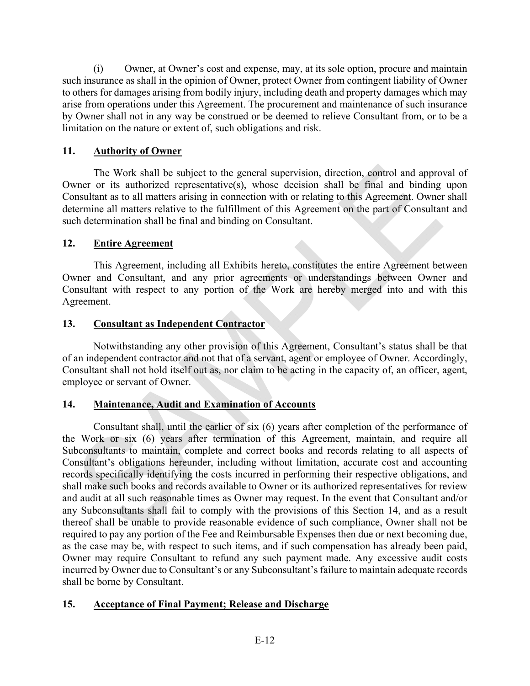(i) Owner, at Owner's cost and expense, may, at its sole option, procure and maintain such insurance as shall in the opinion of Owner, protect Owner from contingent liability of Owner to others for damages arising from bodily injury, including death and property damages which may arise from operations under this Agreement. The procurement and maintenance of such insurance by Owner shall not in any way be construed or be deemed to relieve Consultant from, or to be a limitation on the nature or extent of, such obligations and risk.

# **11. Authority of Owner**

The Work shall be subject to the general supervision, direction, control and approval of Owner or its authorized representative(s), whose decision shall be final and binding upon Consultant as to all matters arising in connection with or relating to this Agreement. Owner shall determine all matters relative to the fulfillment of this Agreement on the part of Consultant and such determination shall be final and binding on Consultant.

# **12. Entire Agreement**

This Agreement, including all Exhibits hereto, constitutes the entire Agreement between Owner and Consultant, and any prior agreements or understandings between Owner and Consultant with respect to any portion of the Work are hereby merged into and with this Agreement.

# **13. Consultant as Independent Contractor**

Notwithstanding any other provision of this Agreement, Consultant's status shall be that of an independent contractor and not that of a servant, agent or employee of Owner. Accordingly, Consultant shall not hold itself out as, nor claim to be acting in the capacity of, an officer, agent, employee or servant of Owner.

# **14. Maintenance, Audit and Examination of Accounts**

Consultant shall, until the earlier of six (6) years after completion of the performance of the Work or six (6) years after termination of this Agreement, maintain, and require all Subconsultants to maintain, complete and correct books and records relating to all aspects of Consultant's obligations hereunder, including without limitation, accurate cost and accounting records specifically identifying the costs incurred in performing their respective obligations, and shall make such books and records available to Owner or its authorized representatives for review and audit at all such reasonable times as Owner may request. In the event that Consultant and/or any Subconsultants shall fail to comply with the provisions of this Section 14, and as a result thereof shall be unable to provide reasonable evidence of such compliance, Owner shall not be required to pay any portion of the Fee and Reimbursable Expenses then due or next becoming due, as the case may be, with respect to such items, and if such compensation has already been paid, Owner may require Consultant to refund any such payment made. Any excessive audit costs incurred by Owner due to Consultant's or any Subconsultant's failure to maintain adequate records shall be borne by Consultant.

# **15. Acceptance of Final Payment; Release and Discharge**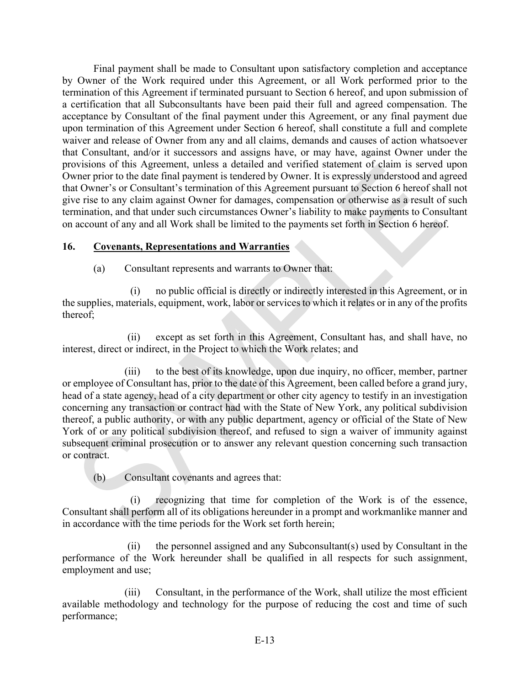Final payment shall be made to Consultant upon satisfactory completion and acceptance by Owner of the Work required under this Agreement, or all Work performed prior to the termination of this Agreement if terminated pursuant to Section 6 hereof, and upon submission of a certification that all Subconsultants have been paid their full and agreed compensation. The acceptance by Consultant of the final payment under this Agreement, or any final payment due upon termination of this Agreement under Section 6 hereof, shall constitute a full and complete waiver and release of Owner from any and all claims, demands and causes of action whatsoever that Consultant, and/or it successors and assigns have, or may have, against Owner under the provisions of this Agreement, unless a detailed and verified statement of claim is served upon Owner prior to the date final payment is tendered by Owner. It is expressly understood and agreed that Owner's or Consultant's termination of this Agreement pursuant to Section 6 hereof shall not give rise to any claim against Owner for damages, compensation or otherwise as a result of such termination, and that under such circumstances Owner's liability to make payments to Consultant on account of any and all Work shall be limited to the payments set forth in Section 6 hereof.

### **16. Covenants, Representations and Warranties**

(a) Consultant represents and warrants to Owner that:

(i) no public official is directly or indirectly interested in this Agreement, or in the supplies, materials, equipment, work, labor or services to which it relates or in any of the profits thereof;

(ii) except as set forth in this Agreement, Consultant has, and shall have, no interest, direct or indirect, in the Project to which the Work relates; and

(iii) to the best of its knowledge, upon due inquiry, no officer, member, partner or employee of Consultant has, prior to the date of this Agreement, been called before a grand jury, head of a state agency, head of a city department or other city agency to testify in an investigation concerning any transaction or contract had with the State of New York, any political subdivision thereof, a public authority, or with any public department, agency or official of the State of New York of or any political subdivision thereof, and refused to sign a waiver of immunity against subsequent criminal prosecution or to answer any relevant question concerning such transaction or contract.

(b) Consultant covenants and agrees that:

(i) recognizing that time for completion of the Work is of the essence, Consultant shall perform all of its obligations hereunder in a prompt and workmanlike manner and in accordance with the time periods for the Work set forth herein;

the personnel assigned and any Subconsultant $(s)$  used by Consultant in the performance of the Work hereunder shall be qualified in all respects for such assignment, employment and use;

(iii) Consultant, in the performance of the Work, shall utilize the most efficient available methodology and technology for the purpose of reducing the cost and time of such performance;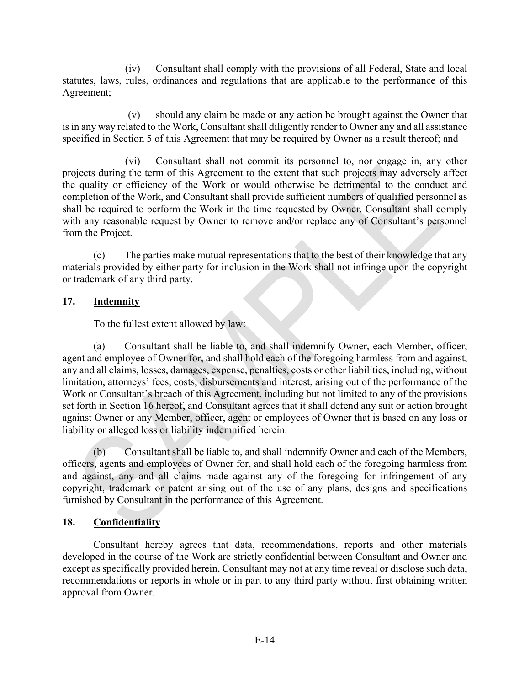(iv) Consultant shall comply with the provisions of all Federal, State and local statutes, laws, rules, ordinances and regulations that are applicable to the performance of this Agreement;

(v) should any claim be made or any action be brought against the Owner that is in any way related to the Work, Consultant shall diligently render to Owner any and all assistance specified in Section 5 of this Agreement that may be required by Owner as a result thereof; and

(vi) Consultant shall not commit its personnel to, nor engage in, any other projects during the term of this Agreement to the extent that such projects may adversely affect the quality or efficiency of the Work or would otherwise be detrimental to the conduct and completion of the Work, and Consultant shall provide sufficient numbers of qualified personnel as shall be required to perform the Work in the time requested by Owner. Consultant shall comply with any reasonable request by Owner to remove and/or replace any of Consultant's personnel from the Project.

(c) The parties make mutual representations that to the best of their knowledge that any materials provided by either party for inclusion in the Work shall not infringe upon the copyright or trademark of any third party.

# **17. Indemnity**

To the fullest extent allowed by law:

(a) Consultant shall be liable to, and shall indemnify Owner, each Member, officer, agent and employee of Owner for, and shall hold each of the foregoing harmless from and against, any and all claims, losses, damages, expense, penalties, costs or other liabilities, including, without limitation, attorneys' fees, costs, disbursements and interest, arising out of the performance of the Work or Consultant's breach of this Agreement, including but not limited to any of the provisions set forth in Section 16 hereof, and Consultant agrees that it shall defend any suit or action brought against Owner or any Member, officer, agent or employees of Owner that is based on any loss or liability or alleged loss or liability indemnified herein.

(b) Consultant shall be liable to, and shall indemnify Owner and each of the Members, officers, agents and employees of Owner for, and shall hold each of the foregoing harmless from and against, any and all claims made against any of the foregoing for infringement of any copyright, trademark or patent arising out of the use of any plans, designs and specifications furnished by Consultant in the performance of this Agreement.

# **18. Confidentiality**

Consultant hereby agrees that data, recommendations, reports and other materials developed in the course of the Work are strictly confidential between Consultant and Owner and except as specifically provided herein, Consultant may not at any time reveal or disclose such data, recommendations or reports in whole or in part to any third party without first obtaining written approval from Owner.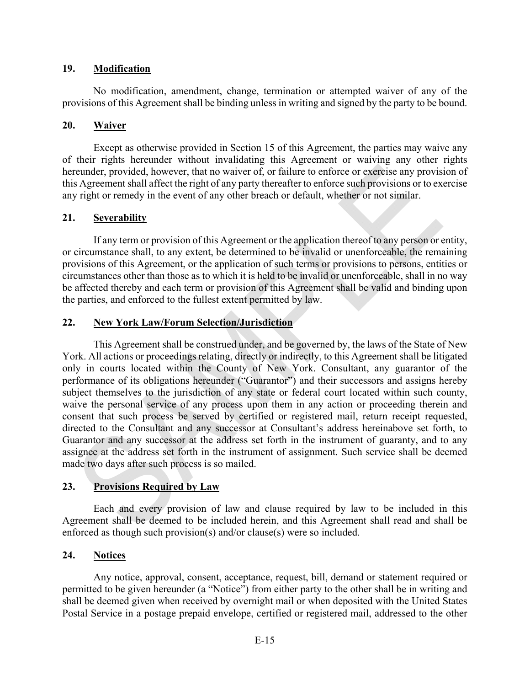### **19. Modification**

No modification, amendment, change, termination or attempted waiver of any of the provisions of this Agreement shall be binding unless in writing and signed by the party to be bound.

### **20. Waiver**

Except as otherwise provided in Section 15 of this Agreement, the parties may waive any of their rights hereunder without invalidating this Agreement or waiving any other rights hereunder, provided, however, that no waiver of, or failure to enforce or exercise any provision of this Agreement shall affect the right of any party thereafter to enforce such provisions or to exercise any right or remedy in the event of any other breach or default, whether or not similar.

# **21. Severability**

If any term or provision of this Agreement or the application thereof to any person or entity, or circumstance shall, to any extent, be determined to be invalid or unenforceable, the remaining provisions of this Agreement, or the application of such terms or provisions to persons, entities or circumstances other than those as to which it is held to be invalid or unenforceable, shall in no way be affected thereby and each term or provision of this Agreement shall be valid and binding upon the parties, and enforced to the fullest extent permitted by law.

### **22. New York Law/Forum Selection/Jurisdiction**

This Agreement shall be construed under, and be governed by, the laws of the State of New York. All actions or proceedings relating, directly or indirectly, to this Agreement shall be litigated only in courts located within the County of New York. Consultant, any guarantor of the performance of its obligations hereunder ("Guarantor") and their successors and assigns hereby subject themselves to the jurisdiction of any state or federal court located within such county, waive the personal service of any process upon them in any action or proceeding therein and consent that such process be served by certified or registered mail, return receipt requested, directed to the Consultant and any successor at Consultant's address hereinabove set forth, to Guarantor and any successor at the address set forth in the instrument of guaranty, and to any assignee at the address set forth in the instrument of assignment. Such service shall be deemed made two days after such process is so mailed.

# **23. Provisions Required by Law**

Each and every provision of law and clause required by law to be included in this Agreement shall be deemed to be included herein, and this Agreement shall read and shall be enforced as though such provision(s) and/or clause(s) were so included.

# **24. Notices**

Any notice, approval, consent, acceptance, request, bill, demand or statement required or permitted to be given hereunder (a "Notice") from either party to the other shall be in writing and shall be deemed given when received by overnight mail or when deposited with the United States Postal Service in a postage prepaid envelope, certified or registered mail, addressed to the other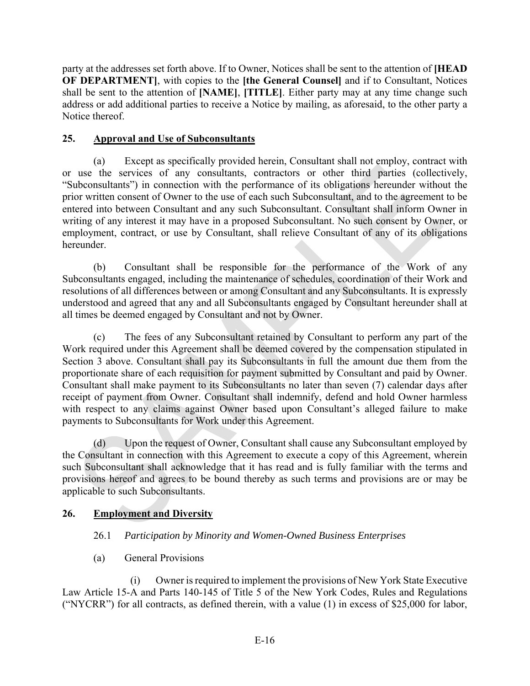party at the addresses set forth above. If to Owner, Notices shall be sent to the attention of **[HEAD OF DEPARTMENT]**, with copies to the **[the General Counsel]** and if to Consultant, Notices shall be sent to the attention of **[NAME]**, **[TITLE]**. Either party may at any time change such address or add additional parties to receive a Notice by mailing, as aforesaid, to the other party a Notice thereof.

# **25. Approval and Use of Subconsultants**

(a) Except as specifically provided herein, Consultant shall not employ, contract with or use the services of any consultants, contractors or other third parties (collectively, "Subconsultants") in connection with the performance of its obligations hereunder without the prior written consent of Owner to the use of each such Subconsultant, and to the agreement to be entered into between Consultant and any such Subconsultant. Consultant shall inform Owner in writing of any interest it may have in a proposed Subconsultant. No such consent by Owner, or employment, contract, or use by Consultant, shall relieve Consultant of any of its obligations hereunder.

(b) Consultant shall be responsible for the performance of the Work of any Subconsultants engaged, including the maintenance of schedules, coordination of their Work and resolutions of all differences between or among Consultant and any Subconsultants. It is expressly understood and agreed that any and all Subconsultants engaged by Consultant hereunder shall at all times be deemed engaged by Consultant and not by Owner.

(c) The fees of any Subconsultant retained by Consultant to perform any part of the Work required under this Agreement shall be deemed covered by the compensation stipulated in Section 3 above. Consultant shall pay its Subconsultants in full the amount due them from the proportionate share of each requisition for payment submitted by Consultant and paid by Owner. Consultant shall make payment to its Subconsultants no later than seven (7) calendar days after receipt of payment from Owner. Consultant shall indemnify, defend and hold Owner harmless with respect to any claims against Owner based upon Consultant's alleged failure to make payments to Subconsultants for Work under this Agreement.

(d) Upon the request of Owner, Consultant shall cause any Subconsultant employed by the Consultant in connection with this Agreement to execute a copy of this Agreement, wherein such Subconsultant shall acknowledge that it has read and is fully familiar with the terms and provisions hereof and agrees to be bound thereby as such terms and provisions are or may be applicable to such Subconsultants.

# **26. Employment and Diversity**

# 26.1 *Participation by Minority and Women-Owned Business Enterprises*

(a) General Provisions

(i) Owner is required to implement the provisions of New York State Executive Law Article 15-A and Parts 140-145 of Title 5 of the New York Codes, Rules and Regulations ("NYCRR") for all contracts, as defined therein, with a value (1) in excess of \$25,000 for labor,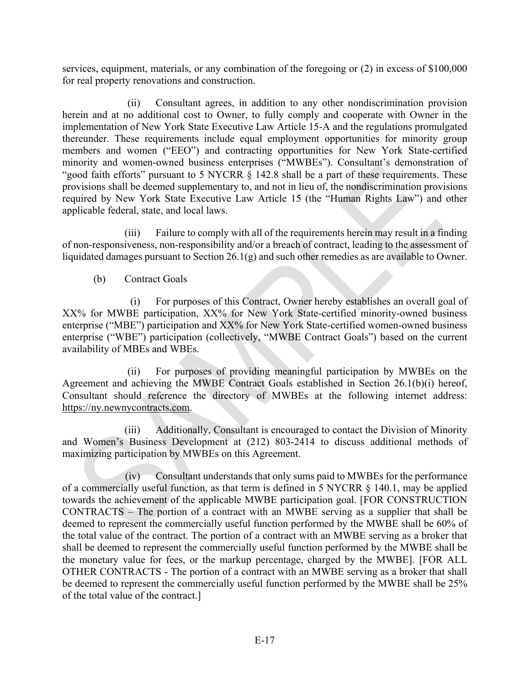services, equipment, materials, or any combination of the foregoing or (2) in excess of \$100,000 for real property renovations and construction.

(ii) Consultant agrees, in addition to any other nondiscrimination provision herein and at no additional cost to Owner, to fully comply and cooperate with Owner in the implementation of New York State Executive Law Article 15-A and the regulations promulgated thereunder. These requirements include equal employment opportunities for minority group members and women ("EEO") and contracting opportunities for New York State-certified minority and women-owned business enterprises ("MWBEs"). Consultant's demonstration of "good faith efforts" pursuant to 5 NYCRR § 142.8 shall be a part of these requirements. These provisions shall be deemed supplementary to, and not in lieu of, the nondiscrimination provisions required by New York State Executive Law Article 15 (the "Human Rights Law") and other applicable federal, state, and local laws.

(iii) Failure to comply with all of the requirements herein may result in a finding of non-responsiveness, non-responsibility and/or a breach of contract, leading to the assessment of liquidated damages pursuant to Section 26.1(g) and such other remedies as are available to Owner.

(b) Contract Goals

(i) For purposes of this Contract, Owner hereby establishes an overall goal of XX% for MWBE participation, XX% for New York State-certified minority-owned business enterprise ("MBE") participation and XX% for New York State-certified women-owned business enterprise ("WBE") participation (collectively, "MWBE Contract Goals") based on the current availability of MBEs and WBEs.

(ii) For purposes of providing meaningful participation by MWBEs on the Agreement and achieving the MWBE Contract Goals established in Section 26.1(b)(i) hereof, Consultant should reference the directory of MWBEs at the following internet address: https://ny.newnycontracts.com.

(iii) Additionally, Consultant is encouraged to contact the Division of Minority and Women's Business Development at (212) 803-2414 to discuss additional methods of maximizing participation by MWBEs on this Agreement.

(iv) Consultant understands that only sums paid to MWBEs for the performance of a commercially useful function, as that term is defined in 5 NYCRR § 140.1, may be applied towards the achievement of the applicable MWBE participation goal. [FOR CONSTRUCTION CONTRACTS – The portion of a contract with an MWBE serving as a supplier that shall be deemed to represent the commercially useful function performed by the MWBE shall be 60% of the total value of the contract. The portion of a contract with an MWBE serving as a broker that shall be deemed to represent the commercially useful function performed by the MWBE shall be the monetary value for fees, or the markup percentage, charged by the MWBE]. [FOR ALL OTHER CONTRACTS - The portion of a contract with an MWBE serving as a broker that shall be deemed to represent the commercially useful function performed by the MWBE shall be 25% of the total value of the contract.]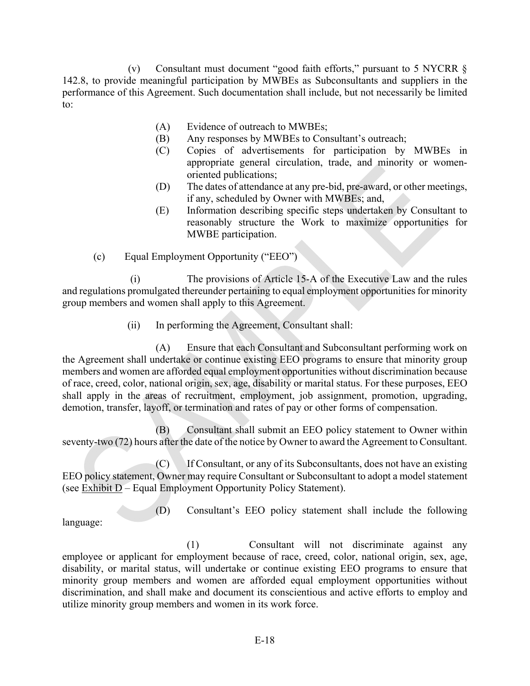(v) Consultant must document "good faith efforts," pursuant to 5 NYCRR § 142.8, to provide meaningful participation by MWBEs as Subconsultants and suppliers in the performance of this Agreement. Such documentation shall include, but not necessarily be limited to:

- (A) Evidence of outreach to MWBEs;
- (B) Any responses by MWBEs to Consultant's outreach;
- (C) Copies of advertisements for participation by MWBEs in appropriate general circulation, trade, and minority or womenoriented publications;
- (D) The dates of attendance at any pre-bid, pre-award, or other meetings, if any, scheduled by Owner with MWBEs; and,
- (E) Information describing specific steps undertaken by Consultant to reasonably structure the Work to maximize opportunities for MWBE participation.
- (c) Equal Employment Opportunity ("EEO")

(i) The provisions of Article 15-A of the Executive Law and the rules and regulations promulgated thereunder pertaining to equal employment opportunities for minority group members and women shall apply to this Agreement.

(ii) In performing the Agreement, Consultant shall:

(A) Ensure that each Consultant and Subconsultant performing work on the Agreement shall undertake or continue existing EEO programs to ensure that minority group members and women are afforded equal employment opportunities without discrimination because of race, creed, color, national origin, sex, age, disability or marital status. For these purposes, EEO shall apply in the areas of recruitment, employment, job assignment, promotion, upgrading, demotion, transfer, layoff, or termination and rates of pay or other forms of compensation.

(B) Consultant shall submit an EEO policy statement to Owner within seventy-two (72) hours after the date of the notice by Owner to award the Agreement to Consultant.

(C) If Consultant, or any of its Subconsultants, does not have an existing EEO policy statement, Owner may require Consultant or Subconsultant to adopt a model statement (see Exhibit D – Equal Employment Opportunity Policy Statement).

(D) Consultant's EEO policy statement shall include the following language:

(1) Consultant will not discriminate against any employee or applicant for employment because of race, creed, color, national origin, sex, age, disability, or marital status, will undertake or continue existing EEO programs to ensure that minority group members and women are afforded equal employment opportunities without discrimination, and shall make and document its conscientious and active efforts to employ and utilize minority group members and women in its work force.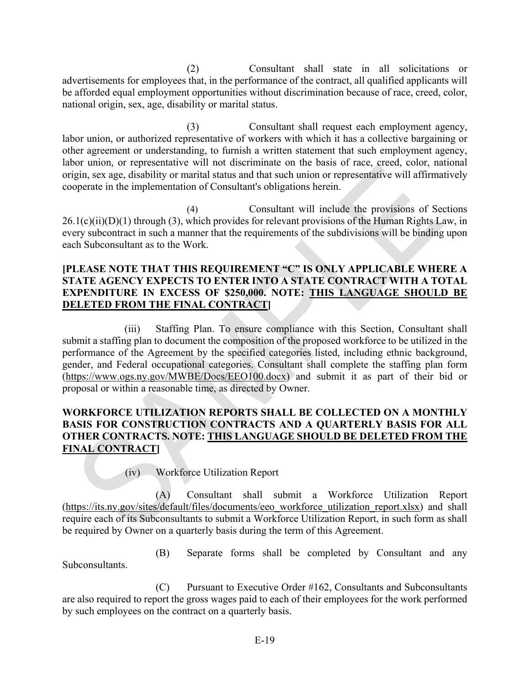(2) Consultant shall state in all solicitations or advertisements for employees that, in the performance of the contract, all qualified applicants will be afforded equal employment opportunities without discrimination because of race, creed, color, national origin, sex, age, disability or marital status.

(3) Consultant shall request each employment agency, labor union, or authorized representative of workers with which it has a collective bargaining or other agreement or understanding, to furnish a written statement that such employment agency, labor union, or representative will not discriminate on the basis of race, creed, color, national origin, sex age, disability or marital status and that such union or representative will affirmatively cooperate in the implementation of Consultant's obligations herein.

(4) Consultant will include the provisions of Sections  $26.1(c)(ii)(D)(1)$  through (3), which provides for relevant provisions of the Human Rights Law, in every subcontract in such a manner that the requirements of the subdivisions will be binding upon each Subconsultant as to the Work.

### **[PLEASE NOTE THAT THIS REQUIREMENT "C" IS ONLY APPLICABLE WHERE A STATE AGENCY EXPECTS TO ENTER INTO A STATE CONTRACT WITH A TOTAL EXPENDITURE IN EXCESS OF \$250,000. NOTE: THIS LANGUAGE SHOULD BE DELETED FROM THE FINAL CONTRACT]**

(iii) Staffing Plan. To ensure compliance with this Section, Consultant shall submit a staffing plan to document the composition of the proposed workforce to be utilized in the performance of the Agreement by the specified categories listed, including ethnic background, gender, and Federal occupational categories. Consultant shall complete the staffing plan form (https://www.ogs.ny.gov/MWBE/Docs/EEO100.docx) and submit it as part of their bid or proposal or within a reasonable time, as directed by Owner.

# **WORKFORCE UTILIZATION REPORTS SHALL BE COLLECTED ON A MONTHLY BASIS FOR CONSTRUCTION CONTRACTS AND A QUARTERLY BASIS FOR ALL OTHER CONTRACTS. NOTE: THIS LANGUAGE SHOULD BE DELETED FROM THE FINAL CONTRACT]**

(iv) Workforce Utilization Report

(A) Consultant shall submit a Workforce Utilization Report (https://its.ny.gov/sites/default/files/documents/eeo\_workforce\_utilization\_report.xlsx) and shall require each of its Subconsultants to submit a Workforce Utilization Report, in such form as shall be required by Owner on a quarterly basis during the term of this Agreement.

(B) Separate forms shall be completed by Consultant and any Subconsultants.

(C) Pursuant to Executive Order #162, Consultants and Subconsultants are also required to report the gross wages paid to each of their employees for the work performed by such employees on the contract on a quarterly basis.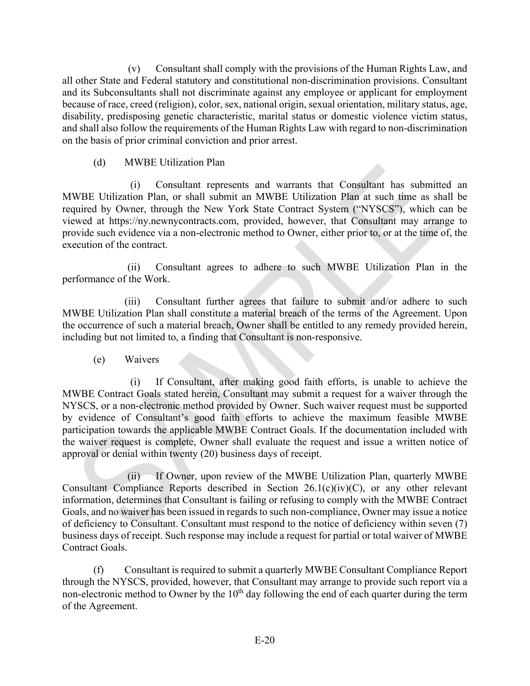(v) Consultant shall comply with the provisions of the Human Rights Law, and all other State and Federal statutory and constitutional non-discrimination provisions. Consultant and its Subconsultants shall not discriminate against any employee or applicant for employment because of race, creed (religion), color, sex, national origin, sexual orientation, military status, age, disability, predisposing genetic characteristic, marital status or domestic violence victim status, and shall also follow the requirements of the Human Rights Law with regard to non-discrimination on the basis of prior criminal conviction and prior arrest.

### (d) MWBE Utilization Plan

(i) Consultant represents and warrants that Consultant has submitted an MWBE Utilization Plan, or shall submit an MWBE Utilization Plan at such time as shall be required by Owner, through the New York State Contract System ("NYSCS"), which can be viewed at https://ny.newnycontracts.com, provided, however, that Consultant may arrange to provide such evidence via a non-electronic method to Owner, either prior to, or at the time of, the execution of the contract.

(ii) Consultant agrees to adhere to such MWBE Utilization Plan in the performance of the Work.

(iii) Consultant further agrees that failure to submit and/or adhere to such MWBE Utilization Plan shall constitute a material breach of the terms of the Agreement. Upon the occurrence of such a material breach, Owner shall be entitled to any remedy provided herein, including but not limited to, a finding that Consultant is non-responsive.

(e) Waivers

(i) If Consultant, after making good faith efforts, is unable to achieve the MWBE Contract Goals stated herein, Consultant may submit a request for a waiver through the NYSCS, or a non-electronic method provided by Owner. Such waiver request must be supported by evidence of Consultant's good faith efforts to achieve the maximum feasible MWBE participation towards the applicable MWBE Contract Goals. If the documentation included with the waiver request is complete, Owner shall evaluate the request and issue a written notice of approval or denial within twenty (20) business days of receipt.

(ii) If Owner, upon review of the MWBE Utilization Plan, quarterly MWBE Consultant Compliance Reports described in Section 26.1(c)(iv)(C), or any other relevant information, determines that Consultant is failing or refusing to comply with the MWBE Contract Goals, and no waiver has been issued in regards to such non-compliance, Owner may issue a notice of deficiency to Consultant. Consultant must respond to the notice of deficiency within seven (7) business days of receipt. Such response may include a request for partial or total waiver of MWBE Contract Goals.

(f) Consultant is required to submit a quarterly MWBE Consultant Compliance Report through the NYSCS, provided, however, that Consultant may arrange to provide such report via a non-electronic method to Owner by the  $10<sup>th</sup>$  day following the end of each quarter during the term of the Agreement.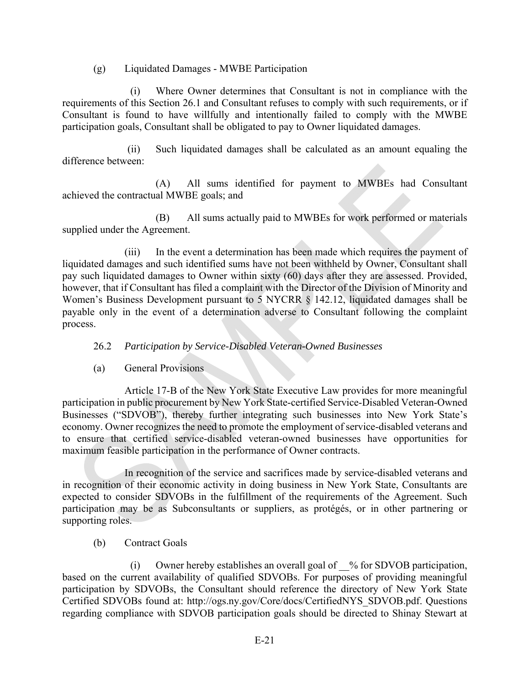(g) Liquidated Damages - MWBE Participation

(i) Where Owner determines that Consultant is not in compliance with the requirements of this Section 26.1 and Consultant refuses to comply with such requirements, or if Consultant is found to have willfully and intentionally failed to comply with the MWBE participation goals, Consultant shall be obligated to pay to Owner liquidated damages.

(ii) Such liquidated damages shall be calculated as an amount equaling the difference between:

(A) All sums identified for payment to MWBEs had Consultant achieved the contractual MWBE goals; and

(B) All sums actually paid to MWBEs for work performed or materials supplied under the Agreement.

(iii) In the event a determination has been made which requires the payment of liquidated damages and such identified sums have not been withheld by Owner, Consultant shall pay such liquidated damages to Owner within sixty (60) days after they are assessed. Provided, however, that if Consultant has filed a complaint with the Director of the Division of Minority and Women's Business Development pursuant to 5 NYCRR § 142.12, liquidated damages shall be payable only in the event of a determination adverse to Consultant following the complaint process.

# 26.2 *Participation by Service-Disabled Veteran-Owned Businesses*

(a) General Provisions

Article 17-B of the New York State Executive Law provides for more meaningful participation in public procurement by New York State-certified Service-Disabled Veteran-Owned Businesses ("SDVOB"), thereby further integrating such businesses into New York State's economy. Owner recognizes the need to promote the employment of service-disabled veterans and to ensure that certified service-disabled veteran-owned businesses have opportunities for maximum feasible participation in the performance of Owner contracts.

In recognition of the service and sacrifices made by service-disabled veterans and in recognition of their economic activity in doing business in New York State, Consultants are expected to consider SDVOBs in the fulfillment of the requirements of the Agreement. Such participation may be as Subconsultants or suppliers, as protégés, or in other partnering or supporting roles.

(b) Contract Goals

(i) Owner hereby establishes an overall goal of  $\%$  for SDVOB participation, based on the current availability of qualified SDVOBs. For purposes of providing meaningful participation by SDVOBs, the Consultant should reference the directory of New York State Certified SDVOBs found at: http://ogs.ny.gov/Core/docs/CertifiedNYS\_SDVOB.pdf. Questions regarding compliance with SDVOB participation goals should be directed to Shinay Stewart at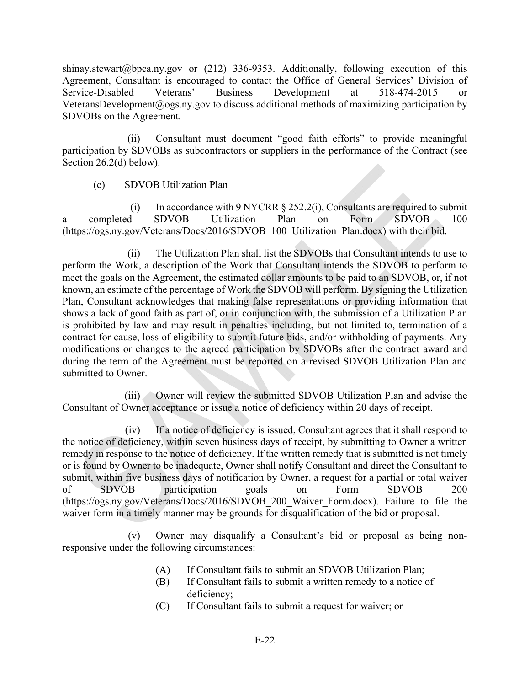shinay.stewart@bpca.ny.gov or (212) 336-9353. Additionally, following execution of this Agreement, Consultant is encouraged to contact the Office of General Services' Division of Service-Disabled Veterans' Business Development at 518-474-2015 or VeteransDevelopment@ogs.ny.gov to discuss additional methods of maximizing participation by SDVOBs on the Agreement.

(ii) Consultant must document "good faith efforts" to provide meaningful participation by SDVOBs as subcontractors or suppliers in the performance of the Contract (see Section 26.2(d) below).

# (c) SDVOB Utilization Plan

(i) In accordance with 9 NYCRR  $\S 252.2(i)$ , Consultants are required to submit a completed SDVOB Utilization Plan on Form SDVOB 100 (https://ogs.ny.gov/Veterans/Docs/2016/SDVOB\_100\_Utilization\_Plan.docx) with their bid.

(ii) The Utilization Plan shall list the SDVOBs that Consultant intends to use to perform the Work, a description of the Work that Consultant intends the SDVOB to perform to meet the goals on the Agreement, the estimated dollar amounts to be paid to an SDVOB, or, if not known, an estimate of the percentage of Work the SDVOB will perform. By signing the Utilization Plan, Consultant acknowledges that making false representations or providing information that shows a lack of good faith as part of, or in conjunction with, the submission of a Utilization Plan is prohibited by law and may result in penalties including, but not limited to, termination of a contract for cause, loss of eligibility to submit future bids, and/or withholding of payments. Any modifications or changes to the agreed participation by SDVOBs after the contract award and during the term of the Agreement must be reported on a revised SDVOB Utilization Plan and submitted to Owner.

(iii) Owner will review the submitted SDVOB Utilization Plan and advise the Consultant of Owner acceptance or issue a notice of deficiency within 20 days of receipt.

(iv) If a notice of deficiency is issued, Consultant agrees that it shall respond to the notice of deficiency, within seven business days of receipt, by submitting to Owner a written remedy in response to the notice of deficiency. If the written remedy that is submitted is not timely or is found by Owner to be inadequate, Owner shall notify Consultant and direct the Consultant to submit, within five business days of notification by Owner, a request for a partial or total waiver of SDVOB participation goals on Form SDVOB 200 (https://ogs.ny.gov/Veterans/Docs/2016/SDVOB\_200\_Waiver\_Form.docx). Failure to file the waiver form in a timely manner may be grounds for disqualification of the bid or proposal.

(v) Owner may disqualify a Consultant's bid or proposal as being nonresponsive under the following circumstances:

- (A) If Consultant fails to submit an SDVOB Utilization Plan;
- (B) If Consultant fails to submit a written remedy to a notice of deficiency;
- (C) If Consultant fails to submit a request for waiver; or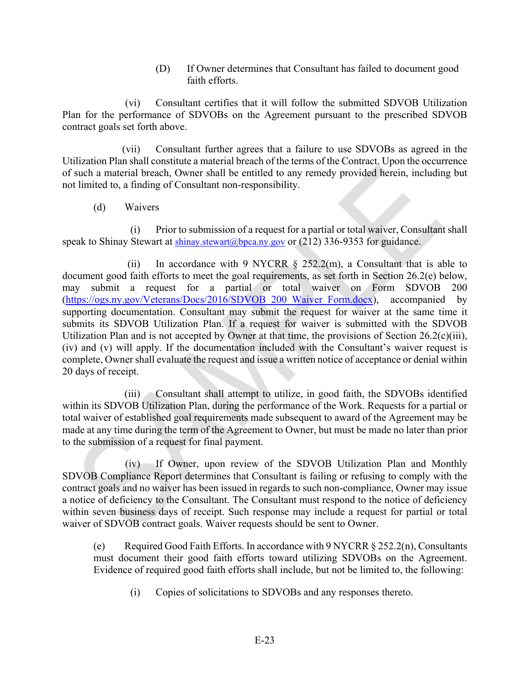(D) If Owner determines that Consultant has failed to document good faith efforts.

(vi) Consultant certifies that it will follow the submitted SDVOB Utilization Plan for the performance of SDVOBs on the Agreement pursuant to the prescribed SDVOB contract goals set forth above.

(vii) Consultant further agrees that a failure to use SDVOBs as agreed in the Utilization Plan shall constitute a material breach of the terms of the Contract. Upon the occurrence of such a material breach, Owner shall be entitled to any remedy provided herein, including but not limited to, a finding of Consultant non-responsibility.

(d) Waivers

(i) Prior to submission of a request for a partial or total waiver, Consultant shall speak to Shinay Stewart at shinay.stewart@bpca.ny.gov or (212) 336-9353 for guidance.

(ii) In accordance with 9 NYCRR  $\S$  252.2(m), a Consultant that is able to document good faith efforts to meet the goal requirements, as set forth in Section 26.2(e) below, may submit a request for a partial or total waiver on Form SDVOB 200 (https://ogs.ny.gov/Veterans/Docs/2016/SDVOB\_200\_Waiver\_Form.docx), accompanied by supporting documentation. Consultant may submit the request for waiver at the same time it submits its SDVOB Utilization Plan. If a request for waiver is submitted with the SDVOB Utilization Plan and is not accepted by Owner at that time, the provisions of Section 26.2(c)(iii), (iv) and (v) will apply. If the documentation included with the Consultant's waiver request is complete, Owner shall evaluate the request and issue a written notice of acceptance or denial within 20 days of receipt.

(iii) Consultant shall attempt to utilize, in good faith, the SDVOBs identified within its SDVOB Utilization Plan, during the performance of the Work. Requests for a partial or total waiver of established goal requirements made subsequent to award of the Agreement may be made at any time during the term of the Agreement to Owner, but must be made no later than prior to the submission of a request for final payment.

(iv) If Owner, upon review of the SDVOB Utilization Plan and Monthly SDVOB Compliance Report determines that Consultant is failing or refusing to comply with the contract goals and no waiver has been issued in regards to such non-compliance, Owner may issue a notice of deficiency to the Consultant. The Consultant must respond to the notice of deficiency within seven business days of receipt. Such response may include a request for partial or total waiver of SDVOB contract goals. Waiver requests should be sent to Owner.

(e) Required Good Faith Efforts. In accordance with 9 NYCRR  $\S 252.2(n)$ , Consultants must document their good faith efforts toward utilizing SDVOBs on the Agreement. Evidence of required good faith efforts shall include, but not be limited to, the following:

(i) Copies of solicitations to SDVOBs and any responses thereto.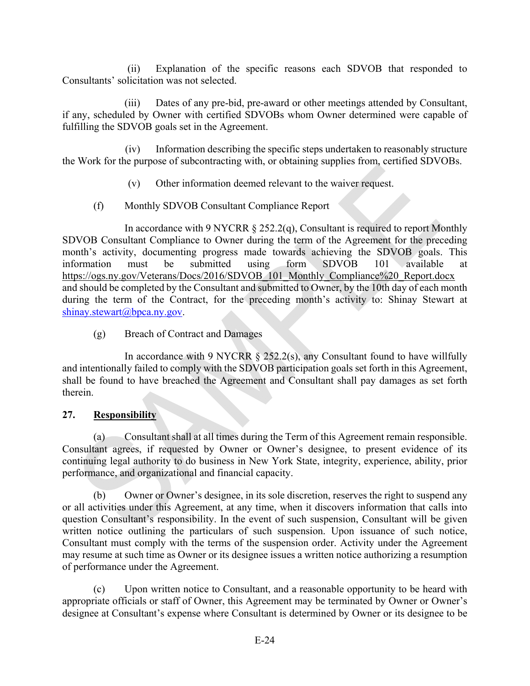(ii) Explanation of the specific reasons each SDVOB that responded to Consultants' solicitation was not selected.

(iii) Dates of any pre-bid, pre-award or other meetings attended by Consultant, if any, scheduled by Owner with certified SDVOBs whom Owner determined were capable of fulfilling the SDVOB goals set in the Agreement.

(iv) Information describing the specific steps undertaken to reasonably structure the Work for the purpose of subcontracting with, or obtaining supplies from, certified SDVOBs.

- (v) Other information deemed relevant to the waiver request.
- (f) Monthly SDVOB Consultant Compliance Report

In accordance with 9 NYCRR § 252.2(q), Consultant is required to report Monthly SDVOB Consultant Compliance to Owner during the term of the Agreement for the preceding month's activity, documenting progress made towards achieving the SDVOB goals. This information must be submitted using form SDVOB 101 available at https://ogs.ny.gov/Veterans/Docs/2016/SDVOB\_101\_Monthly\_Compliance%20\_Report.docx and should be completed by the Consultant and submitted to Owner, by the 10th day of each month during the term of the Contract, for the preceding month's activity to: Shinay Stewart at shinay.stewart@bpca.ny.gov.

(g) Breach of Contract and Damages

In accordance with 9 NYCRR  $\S$  252.2(s), any Consultant found to have willfully and intentionally failed to comply with the SDVOB participation goals set forth in this Agreement, shall be found to have breached the Agreement and Consultant shall pay damages as set forth therein.

# **27. Responsibility**

(a) Consultant shall at all times during the Term of this Agreement remain responsible. Consultant agrees, if requested by Owner or Owner's designee, to present evidence of its continuing legal authority to do business in New York State, integrity, experience, ability, prior performance, and organizational and financial capacity.

(b) Owner or Owner's designee, in its sole discretion, reserves the right to suspend any or all activities under this Agreement, at any time, when it discovers information that calls into question Consultant's responsibility. In the event of such suspension, Consultant will be given written notice outlining the particulars of such suspension. Upon issuance of such notice, Consultant must comply with the terms of the suspension order. Activity under the Agreement may resume at such time as Owner or its designee issues a written notice authorizing a resumption of performance under the Agreement.

(c) Upon written notice to Consultant, and a reasonable opportunity to be heard with appropriate officials or staff of Owner, this Agreement may be terminated by Owner or Owner's designee at Consultant's expense where Consultant is determined by Owner or its designee to be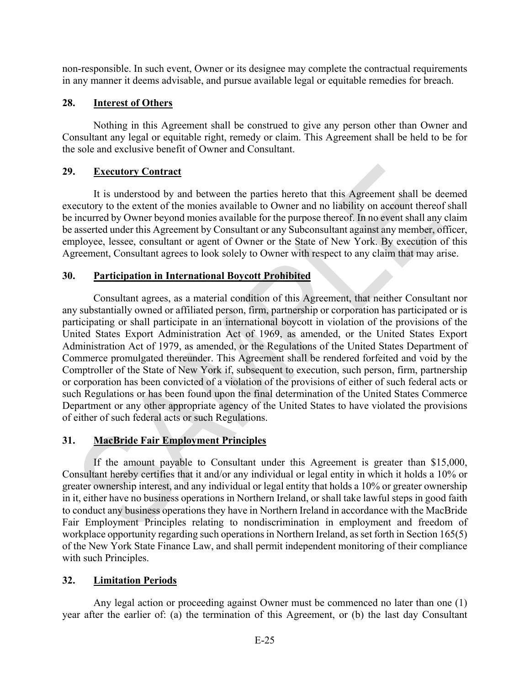non-responsible. In such event, Owner or its designee may complete the contractual requirements in any manner it deems advisable, and pursue available legal or equitable remedies for breach.

# **28. Interest of Others**

Nothing in this Agreement shall be construed to give any person other than Owner and Consultant any legal or equitable right, remedy or claim. This Agreement shall be held to be for the sole and exclusive benefit of Owner and Consultant.

# **29. Executory Contract**

It is understood by and between the parties hereto that this Agreement shall be deemed executory to the extent of the monies available to Owner and no liability on account thereof shall be incurred by Owner beyond monies available for the purpose thereof. In no event shall any claim be asserted under this Agreement by Consultant or any Subconsultant against any member, officer, employee, lessee, consultant or agent of Owner or the State of New York. By execution of this Agreement, Consultant agrees to look solely to Owner with respect to any claim that may arise.

# **30. Participation in International Boycott Prohibited**

Consultant agrees, as a material condition of this Agreement, that neither Consultant nor any substantially owned or affiliated person, firm, partnership or corporation has participated or is participating or shall participate in an international boycott in violation of the provisions of the United States Export Administration Act of 1969, as amended, or the United States Export Administration Act of 1979, as amended, or the Regulations of the United States Department of Commerce promulgated thereunder. This Agreement shall be rendered forfeited and void by the Comptroller of the State of New York if, subsequent to execution, such person, firm, partnership or corporation has been convicted of a violation of the provisions of either of such federal acts or such Regulations or has been found upon the final determination of the United States Commerce Department or any other appropriate agency of the United States to have violated the provisions of either of such federal acts or such Regulations.

# **31. MacBride Fair Employment Principles**

If the amount payable to Consultant under this Agreement is greater than \$15,000, Consultant hereby certifies that it and/or any individual or legal entity in which it holds a 10% or greater ownership interest, and any individual or legal entity that holds a 10% or greater ownership in it, either have no business operations in Northern Ireland, or shall take lawful steps in good faith to conduct any business operations they have in Northern Ireland in accordance with the MacBride Fair Employment Principles relating to nondiscrimination in employment and freedom of workplace opportunity regarding such operations in Northern Ireland, as set forth in Section 165(5) of the New York State Finance Law, and shall permit independent monitoring of their compliance with such Principles.

# **32. Limitation Periods**

Any legal action or proceeding against Owner must be commenced no later than one (1) year after the earlier of: (a) the termination of this Agreement, or (b) the last day Consultant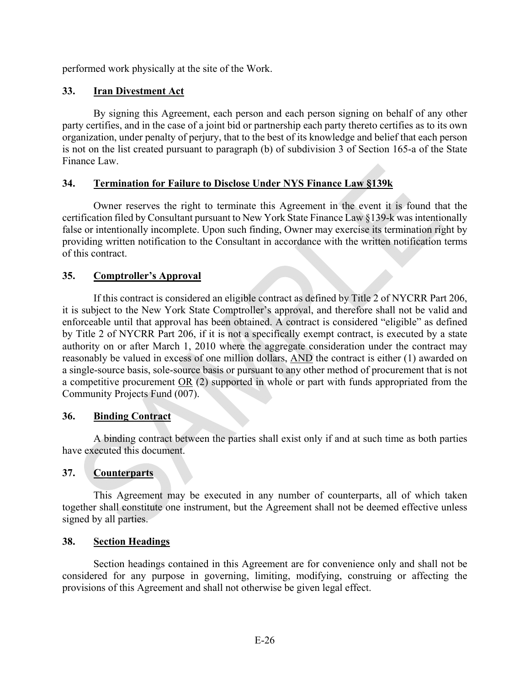performed work physically at the site of the Work.

# **33. Iran Divestment Act**

By signing this Agreement, each person and each person signing on behalf of any other party certifies, and in the case of a joint bid or partnership each party thereto certifies as to its own organization, under penalty of perjury, that to the best of its knowledge and belief that each person is not on the list created pursuant to paragraph (b) of subdivision 3 of Section 165-a of the State Finance Law.

# **34. Termination for Failure to Disclose Under NYS Finance Law §139k**

Owner reserves the right to terminate this Agreement in the event it is found that the certification filed by Consultant pursuant to New York State Finance Law §139-k was intentionally false or intentionally incomplete. Upon such finding, Owner may exercise its termination right by providing written notification to the Consultant in accordance with the written notification terms of this contract.

# **35. Comptroller's Approval**

If this contract is considered an eligible contract as defined by Title 2 of NYCRR Part 206, it is subject to the New York State Comptroller's approval, and therefore shall not be valid and enforceable until that approval has been obtained. A contract is considered "eligible" as defined by Title 2 of NYCRR Part 206, if it is not a specifically exempt contract, is executed by a state authority on or after March 1, 2010 where the aggregate consideration under the contract may reasonably be valued in excess of one million dollars, AND the contract is either (1) awarded on a single-source basis, sole-source basis or pursuant to any other method of procurement that is not a competitive procurement OR (2) supported in whole or part with funds appropriated from the Community Projects Fund (007).

# **36. Binding Contract**

A binding contract between the parties shall exist only if and at such time as both parties have executed this document.

# **37. Counterparts**

This Agreement may be executed in any number of counterparts, all of which taken together shall constitute one instrument, but the Agreement shall not be deemed effective unless signed by all parties.

# **38. Section Headings**

Section headings contained in this Agreement are for convenience only and shall not be considered for any purpose in governing, limiting, modifying, construing or affecting the provisions of this Agreement and shall not otherwise be given legal effect.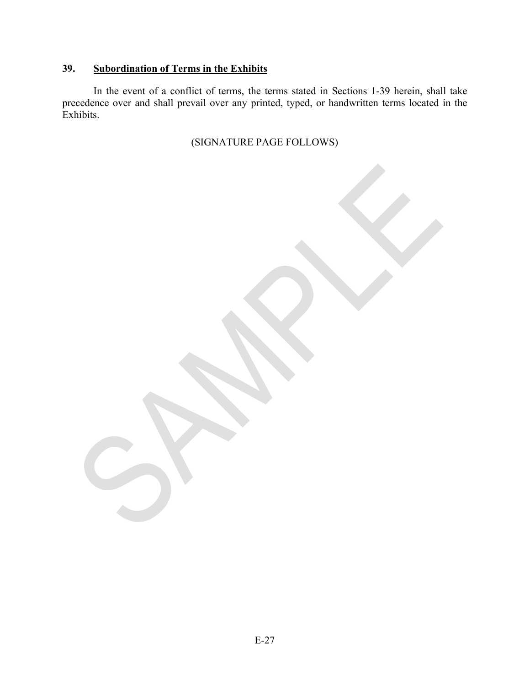# **39. Subordination of Terms in the Exhibits**

In the event of a conflict of terms, the terms stated in Sections 1-39 herein, shall take precedence over and shall prevail over any printed, typed, or handwritten terms located in the Exhibits.

(SIGNATURE PAGE FOLLOWS)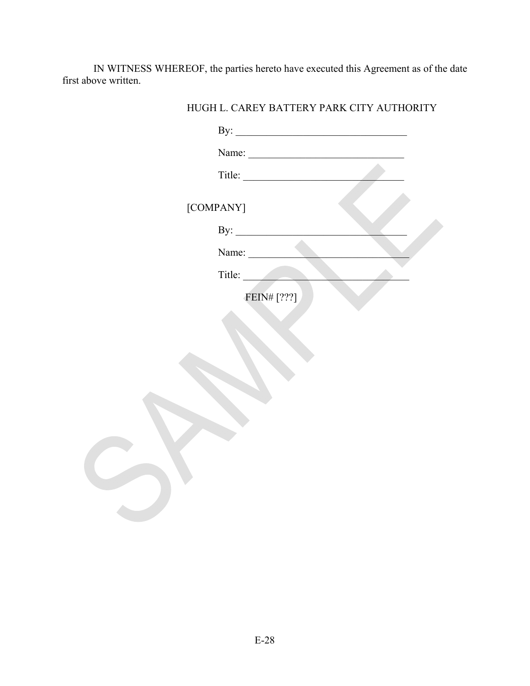IN WITNESS WHEREOF, the parties hereto have executed this Agreement as of the date first above written.

| Name:                  |  |
|------------------------|--|
|                        |  |
| [COMPANY]              |  |
| By: $\qquad \qquad$    |  |
| Name:                  |  |
| Title:                 |  |
| FEIN# <sup>[???]</sup> |  |
|                        |  |
|                        |  |
|                        |  |
|                        |  |
|                        |  |
|                        |  |
|                        |  |
|                        |  |
|                        |  |
|                        |  |

HUGH L. CAREY BATTERY PARK CITY AUTHORITY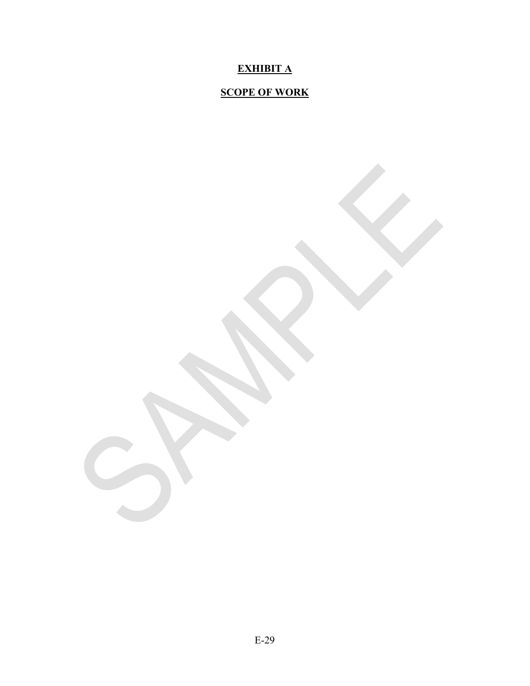# **EXHIBIT A**

# **SCOPE OF WORK**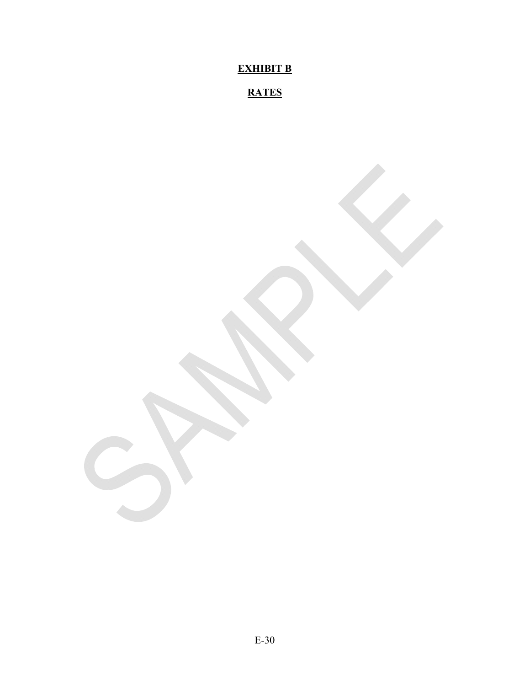**EXHIBIT B** 

# **RATES**

E-30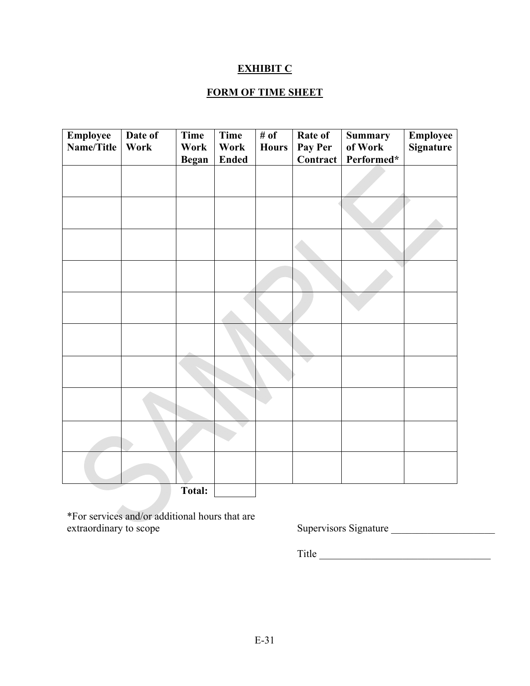# **EXHIBIT C**

# **FORM OF TIME SHEET**

| <b>Employee</b><br>Name/Title | Date of<br>Work | Time<br>Work | Time<br>Work<br><b>Ended</b> | # of<br><b>Hours</b> | Rate of<br>Pay Per<br><b>Contract</b> | <b>Summary</b><br>of Work<br>Performed* | <b>Employee</b><br>Signature |
|-------------------------------|-----------------|--------------|------------------------------|----------------------|---------------------------------------|-----------------------------------------|------------------------------|
|                               |                 | <b>Began</b> |                              |                      |                                       |                                         |                              |
|                               |                 |              |                              |                      |                                       |                                         |                              |
|                               |                 |              |                              |                      |                                       |                                         |                              |
|                               |                 |              |                              |                      |                                       |                                         |                              |
|                               |                 |              |                              |                      |                                       |                                         |                              |
|                               |                 |              |                              |                      |                                       |                                         |                              |
|                               |                 |              |                              |                      |                                       |                                         |                              |
|                               |                 |              |                              |                      |                                       |                                         |                              |
|                               |                 |              |                              |                      |                                       |                                         |                              |
|                               |                 |              |                              |                      |                                       |                                         |                              |
|                               |                 | Total:       |                              |                      |                                       |                                         |                              |

\*For services and/or additional hours that are extraordinary to scope Supervisors Signature \_\_\_\_\_\_\_\_\_\_\_\_\_\_\_\_\_\_\_\_\_\_\_\_\_\_\_\_\_\_\_\_\_\_\_

Title \_\_\_\_\_\_\_\_\_\_\_\_\_\_\_\_\_\_\_\_\_\_\_\_\_\_\_\_\_\_\_\_\_